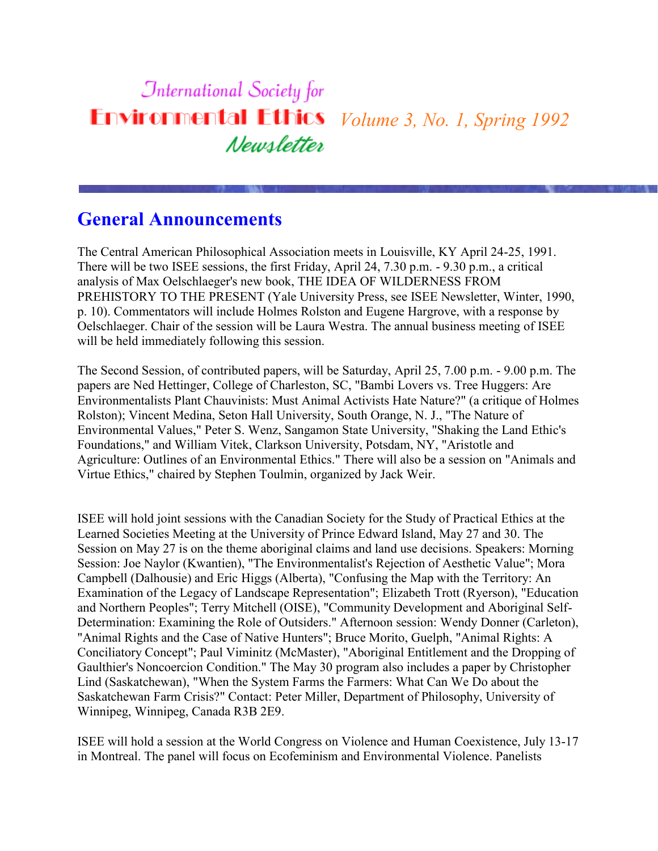#### **International Society for Environmental Ethics** *Volume 3, No. 1, Spring 1992* Newsletter

### **General Announcements**

The Central American Philosophical Association meets in Louisville, KY April 24-25, 1991. There will be two ISEE sessions, the first Friday, April 24, 7.30 p.m. - 9.30 p.m., a critical analysis of Max Oelschlaeger's new book, THE IDEA OF WILDERNESS FROM PREHISTORY TO THE PRESENT (Yale University Press, see ISEE Newsletter, Winter, 1990, p. 10). Commentators will include Holmes Rolston and Eugene Hargrove, with a response by Oelschlaeger. Chair of the session will be Laura Westra. The annual business meeting of ISEE will be held immediately following this session.

The Second Session, of contributed papers, will be Saturday, April 25, 7.00 p.m. - 9.00 p.m. The papers are Ned Hettinger, College of Charleston, SC, "Bambi Lovers vs. Tree Huggers: Are Environmentalists Plant Chauvinists: Must Animal Activists Hate Nature?" (a critique of Holmes Rolston); Vincent Medina, Seton Hall University, South Orange, N. J., "The Nature of Environmental Values," Peter S. Wenz, Sangamon State University, "Shaking the Land Ethic's Foundations," and William Vitek, Clarkson University, Potsdam, NY, "Aristotle and Agriculture: Outlines of an Environmental Ethics." There will also be a session on "Animals and Virtue Ethics," chaired by Stephen Toulmin, organized by Jack Weir.

ISEE will hold joint sessions with the Canadian Society for the Study of Practical Ethics at the Learned Societies Meeting at the University of Prince Edward Island, May 27 and 30. The Session on May 27 is on the theme aboriginal claims and land use decisions. Speakers: Morning Session: Joe Naylor (Kwantien), "The Environmentalist's Rejection of Aesthetic Value"; Mora Campbell (Dalhousie) and Eric Higgs (Alberta), "Confusing the Map with the Territory: An Examination of the Legacy of Landscape Representation"; Elizabeth Trott (Ryerson), "Education and Northern Peoples"; Terry Mitchell (OISE), "Community Development and Aboriginal Self-Determination: Examining the Role of Outsiders." Afternoon session: Wendy Donner (Carleton), "Animal Rights and the Case of Native Hunters"; Bruce Morito, Guelph, "Animal Rights: A Conciliatory Concept"; Paul Viminitz (McMaster), "Aboriginal Entitlement and the Dropping of Gaulthier's Noncoercion Condition." The May 30 program also includes a paper by Christopher Lind (Saskatchewan), "When the System Farms the Farmers: What Can We Do about the Saskatchewan Farm Crisis?" Contact: Peter Miller, Department of Philosophy, University of Winnipeg, Winnipeg, Canada R3B 2E9.

ISEE will hold a session at the World Congress on Violence and Human Coexistence, July 13-17 in Montreal. The panel will focus on Ecofeminism and Environmental Violence. Panelists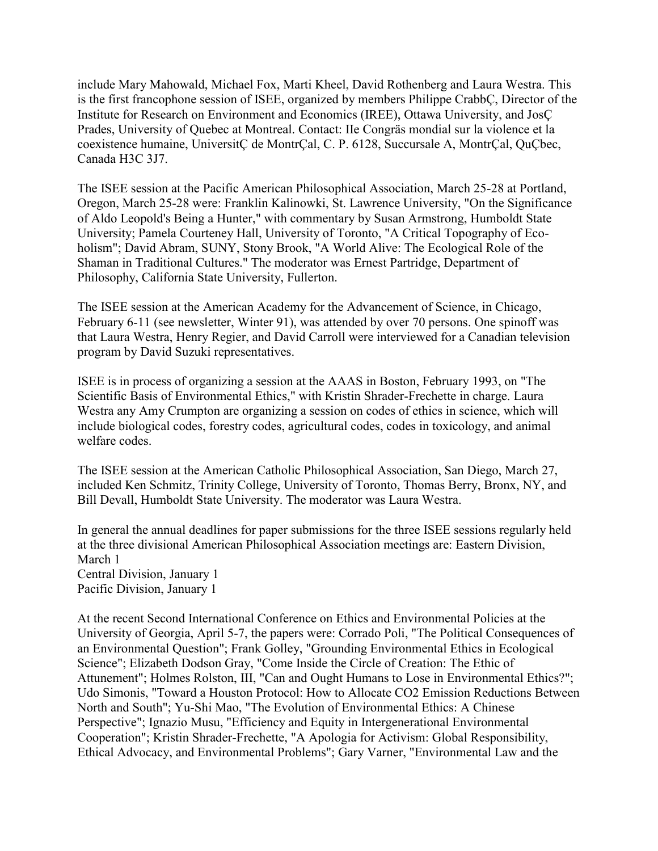include Mary Mahowald, Michael Fox, Marti Kheel, David Rothenberg and Laura Westra. This is the first francophone session of ISEE, organized by members Philippe CrabbÇ, Director of the Institute for Research on Environment and Economics (IREE), Ottawa University, and JosÇ Prades, University of Quebec at Montreal. Contact: IIe Congräs mondial sur la violence et la coexistence humaine, UniversitÇ de MontrÇal, C. P. 6128, Succursale A, MontrÇal, QuÇbec, Canada H3C 3J7.

The ISEE session at the Pacific American Philosophical Association, March 25-28 at Portland, Oregon, March 25-28 were: Franklin Kalinowki, St. Lawrence University, "On the Significance of Aldo Leopold's Being a Hunter," with commentary by Susan Armstrong, Humboldt State University; Pamela Courteney Hall, University of Toronto, "A Critical Topography of Ecoholism"; David Abram, SUNY, Stony Brook, "A World Alive: The Ecological Role of the Shaman in Traditional Cultures." The moderator was Ernest Partridge, Department of Philosophy, California State University, Fullerton.

The ISEE session at the American Academy for the Advancement of Science, in Chicago, February 6-11 (see newsletter, Winter 91), was attended by over 70 persons. One spinoff was that Laura Westra, Henry Regier, and David Carroll were interviewed for a Canadian television program by David Suzuki representatives.

ISEE is in process of organizing a session at the AAAS in Boston, February 1993, on "The Scientific Basis of Environmental Ethics," with Kristin Shrader-Frechette in charge. Laura Westra any Amy Crumpton are organizing a session on codes of ethics in science, which will include biological codes, forestry codes, agricultural codes, codes in toxicology, and animal welfare codes.

The ISEE session at the American Catholic Philosophical Association, San Diego, March 27, included Ken Schmitz, Trinity College, University of Toronto, Thomas Berry, Bronx, NY, and Bill Devall, Humboldt State University. The moderator was Laura Westra.

In general the annual deadlines for paper submissions for the three ISEE sessions regularly held at the three divisional American Philosophical Association meetings are: Eastern Division, March 1 Central Division, January 1

Pacific Division, January 1

At the recent Second International Conference on Ethics and Environmental Policies at the University of Georgia, April 5-7, the papers were: Corrado Poli, "The Political Consequences of an Environmental Question"; Frank Golley, "Grounding Environmental Ethics in Ecological Science"; Elizabeth Dodson Gray, "Come Inside the Circle of Creation: The Ethic of Attunement"; Holmes Rolston, III, "Can and Ought Humans to Lose in Environmental Ethics?"; Udo Simonis, "Toward a Houston Protocol: How to Allocate CO2 Emission Reductions Between North and South"; Yu-Shi Mao, "The Evolution of Environmental Ethics: A Chinese Perspective"; Ignazio Musu, "Efficiency and Equity in Intergenerational Environmental Cooperation"; Kristin Shrader-Frechette, "A Apologia for Activism: Global Responsibility, Ethical Advocacy, and Environmental Problems"; Gary Varner, "Environmental Law and the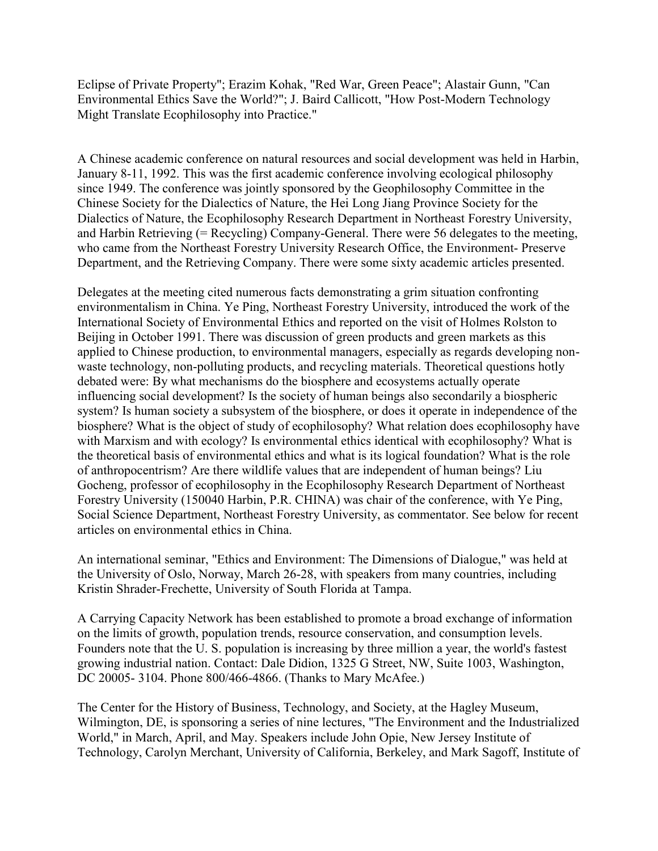Eclipse of Private Property"; Erazim Kohak, "Red War, Green Peace"; Alastair Gunn, "Can Environmental Ethics Save the World?"; J. Baird Callicott, "How Post-Modern Technology Might Translate Ecophilosophy into Practice."

A Chinese academic conference on natural resources and social development was held in Harbin, January 8-11, 1992. This was the first academic conference involving ecological philosophy since 1949. The conference was jointly sponsored by the Geophilosophy Committee in the Chinese Society for the Dialectics of Nature, the Hei Long Jiang Province Society for the Dialectics of Nature, the Ecophilosophy Research Department in Northeast Forestry University, and Harbin Retrieving (= Recycling) Company-General. There were 56 delegates to the meeting, who came from the Northeast Forestry University Research Office, the Environment- Preserve Department, and the Retrieving Company. There were some sixty academic articles presented.

Delegates at the meeting cited numerous facts demonstrating a grim situation confronting environmentalism in China. Ye Ping, Northeast Forestry University, introduced the work of the International Society of Environmental Ethics and reported on the visit of Holmes Rolston to Beijing in October 1991. There was discussion of green products and green markets as this applied to Chinese production, to environmental managers, especially as regards developing nonwaste technology, non-polluting products, and recycling materials. Theoretical questions hotly debated were: By what mechanisms do the biosphere and ecosystems actually operate influencing social development? Is the society of human beings also secondarily a biospheric system? Is human society a subsystem of the biosphere, or does it operate in independence of the biosphere? What is the object of study of ecophilosophy? What relation does ecophilosophy have with Marxism and with ecology? Is environmental ethics identical with ecophilosophy? What is the theoretical basis of environmental ethics and what is its logical foundation? What is the role of anthropocentrism? Are there wildlife values that are independent of human beings? Liu Gocheng, professor of ecophilosophy in the Ecophilosophy Research Department of Northeast Forestry University (150040 Harbin, P.R. CHINA) was chair of the conference, with Ye Ping, Social Science Department, Northeast Forestry University, as commentator. See below for recent articles on environmental ethics in China.

An international seminar, "Ethics and Environment: The Dimensions of Dialogue," was held at the University of Oslo, Norway, March 26-28, with speakers from many countries, including Kristin Shrader-Frechette, University of South Florida at Tampa.

A Carrying Capacity Network has been established to promote a broad exchange of information on the limits of growth, population trends, resource conservation, and consumption levels. Founders note that the U. S. population is increasing by three million a year, the world's fastest growing industrial nation. Contact: Dale Didion, 1325 G Street, NW, Suite 1003, Washington, DC 20005- 3104. Phone 800/466-4866. (Thanks to Mary McAfee.)

The Center for the History of Business, Technology, and Society, at the Hagley Museum, Wilmington, DE, is sponsoring a series of nine lectures, "The Environment and the Industrialized World," in March, April, and May. Speakers include John Opie, New Jersey Institute of Technology, Carolyn Merchant, University of California, Berkeley, and Mark Sagoff, Institute of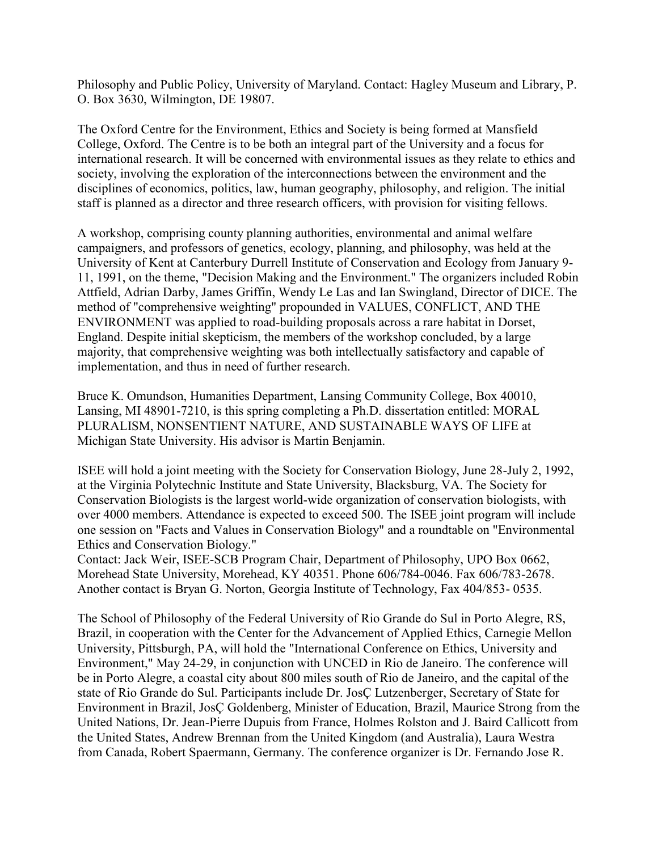Philosophy and Public Policy, University of Maryland. Contact: Hagley Museum and Library, P. O. Box 3630, Wilmington, DE 19807.

The Oxford Centre for the Environment, Ethics and Society is being formed at Mansfield College, Oxford. The Centre is to be both an integral part of the University and a focus for international research. It will be concerned with environmental issues as they relate to ethics and society, involving the exploration of the interconnections between the environment and the disciplines of economics, politics, law, human geography, philosophy, and religion. The initial staff is planned as a director and three research officers, with provision for visiting fellows.

A workshop, comprising county planning authorities, environmental and animal welfare campaigners, and professors of genetics, ecology, planning, and philosophy, was held at the University of Kent at Canterbury Durrell Institute of Conservation and Ecology from January 9- 11, 1991, on the theme, "Decision Making and the Environment." The organizers included Robin Attfield, Adrian Darby, James Griffin, Wendy Le Las and Ian Swingland, Director of DICE. The method of "comprehensive weighting" propounded in VALUES, CONFLICT, AND THE ENVIRONMENT was applied to road-building proposals across a rare habitat in Dorset, England. Despite initial skepticism, the members of the workshop concluded, by a large majority, that comprehensive weighting was both intellectually satisfactory and capable of implementation, and thus in need of further research.

Bruce K. Omundson, Humanities Department, Lansing Community College, Box 40010, Lansing, MI 48901-7210, is this spring completing a Ph.D. dissertation entitled: MORAL PLURALISM, NONSENTIENT NATURE, AND SUSTAINABLE WAYS OF LIFE at Michigan State University. His advisor is Martin Benjamin.

ISEE will hold a joint meeting with the Society for Conservation Biology, June 28-July 2, 1992, at the Virginia Polytechnic Institute and State University, Blacksburg, VA. The Society for Conservation Biologists is the largest world-wide organization of conservation biologists, with over 4000 members. Attendance is expected to exceed 500. The ISEE joint program will include one session on "Facts and Values in Conservation Biology" and a roundtable on "Environmental Ethics and Conservation Biology."

Contact: Jack Weir, ISEE-SCB Program Chair, Department of Philosophy, UPO Box 0662, Morehead State University, Morehead, KY 40351. Phone 606/784-0046. Fax 606/783-2678. Another contact is Bryan G. Norton, Georgia Institute of Technology, Fax 404/853- 0535.

The School of Philosophy of the Federal University of Rio Grande do Sul in Porto Alegre, RS, Brazil, in cooperation with the Center for the Advancement of Applied Ethics, Carnegie Mellon University, Pittsburgh, PA, will hold the "International Conference on Ethics, University and Environment," May 24-29, in conjunction with UNCED in Rio de Janeiro. The conference will be in Porto Alegre, a coastal city about 800 miles south of Rio de Janeiro, and the capital of the state of Rio Grande do Sul. Participants include Dr. JosÇ Lutzenberger, Secretary of State for Environment in Brazil, JosÇ Goldenberg, Minister of Education, Brazil, Maurice Strong from the United Nations, Dr. Jean-Pierre Dupuis from France, Holmes Rolston and J. Baird Callicott from the United States, Andrew Brennan from the United Kingdom (and Australia), Laura Westra from Canada, Robert Spaermann, Germany. The conference organizer is Dr. Fernando Jose R.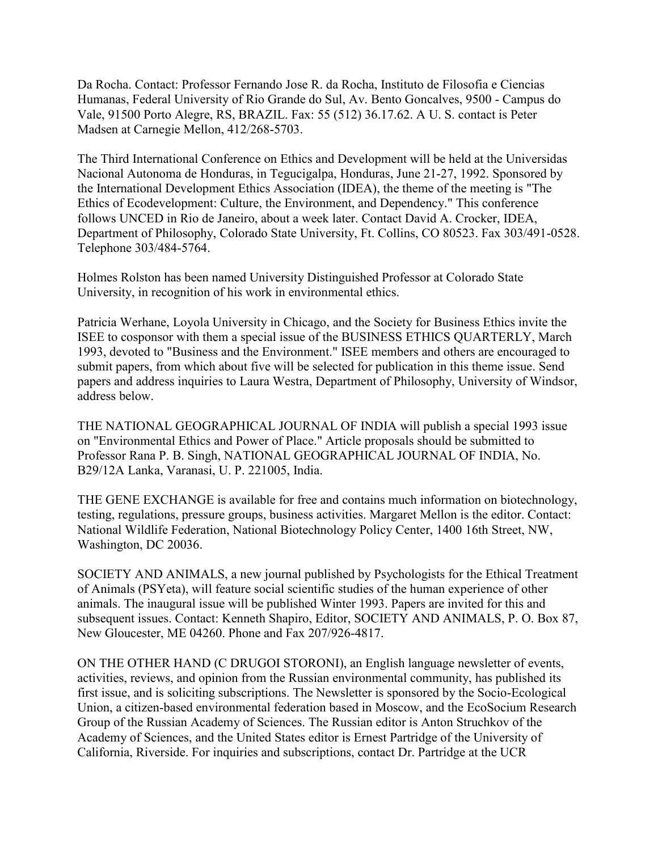Da Rocha. Contact: Professor Fernando Jose R. da Rocha, Instituto de Filosofia e Ciencias Humanas, Federal University of Rio Grande do Sul, Av. Bento Goncalves, 9500 - Campus do Vale, 91500 Porto Alegre, RS, BRAZIL. Fax: 55 (512) 36.17.62. A U. S. contact is Peter Madsen at Carnegie Mellon, 412/268-5703.

The Third International Conference on Ethics and Development will be held at the Universidas Nacional Autonoma de Honduras, in Tegucigalpa, Honduras, June 21-27, 1992. Sponsored by the International Development Ethics Association (IDEA), the theme of the meeting is "The Ethics of Ecodevelopment: Culture, the Environment, and Dependency." This conference follows UNCED in Rio de Janeiro, about a week later. Contact David A. Crocker, IDEA, Department of Philosophy, Colorado State University, Ft. Collins, CO 80523. Fax 303/491-0528. Telephone 303/484-5764.

Holmes Rolston has been named University Distinguished Professor at Colorado State University, in recognition of his work in environmental ethics.

Patricia Werhane, Loyola University in Chicago, and the Society for Business Ethics invite the ISEE to cosponsor with them a special issue of the BUSINESS ETHICS QUARTERLY, March 1993, devoted to "Business and the Environment." ISEE members and others are encouraged to submit papers, from which about five will be selected for publication in this theme issue. Send papers and address inquiries to Laura Westra, Department of Philosophy, University of Windsor, address below.

THE NATIONAL GEOGRAPHICAL JOURNAL OF INDIA will publish a special 1993 issue on "Environmental Ethics and Power of Place." Article proposals should be submitted to Professor Rana P. B. Singh, NATIONAL GEOGRAPHICAL JOURNAL OF INDIA, No. B29/12A Lanka, Varanasi, U. P. 221005, India.

THE GENE EXCHANGE is available for free and contains much information on biotechnology, testing, regulations, pressure groups, business activities. Margaret Mellon is the editor. Contact: National Wildlife Federation, National Biotechnology Policy Center, 1400 16th Street, NW, Washington, DC 20036.

SOCIETY AND ANIMALS, a new journal published by Psychologists for the Ethical Treatment of Animals (PSYeta), will feature social scientific studies of the human experience of other animals. The inaugural issue will be published Winter 1993. Papers are invited for this and subsequent issues. Contact: Kenneth Shapiro, Editor, SOCIETY AND ANIMALS, P. O. Box 87, New Gloucester, ME 04260. Phone and Fax 207/926-4817.

ON THE OTHER HAND (C DRUGOI STORONI), an English language newsletter of events, activities, reviews, and opinion from the Russian environmental community, has published its first issue, and is soliciting subscriptions. The Newsletter is sponsored by the Socio-Ecological Union, a citizen-based environmental federation based in Moscow, and the EcoSocium Research Group of the Russian Academy of Sciences. The Russian editor is Anton Struchkov of the Academy of Sciences, and the United States editor is Ernest Partridge of the University of California, Riverside. For inquiries and subscriptions, contact Dr. Partridge at the UCR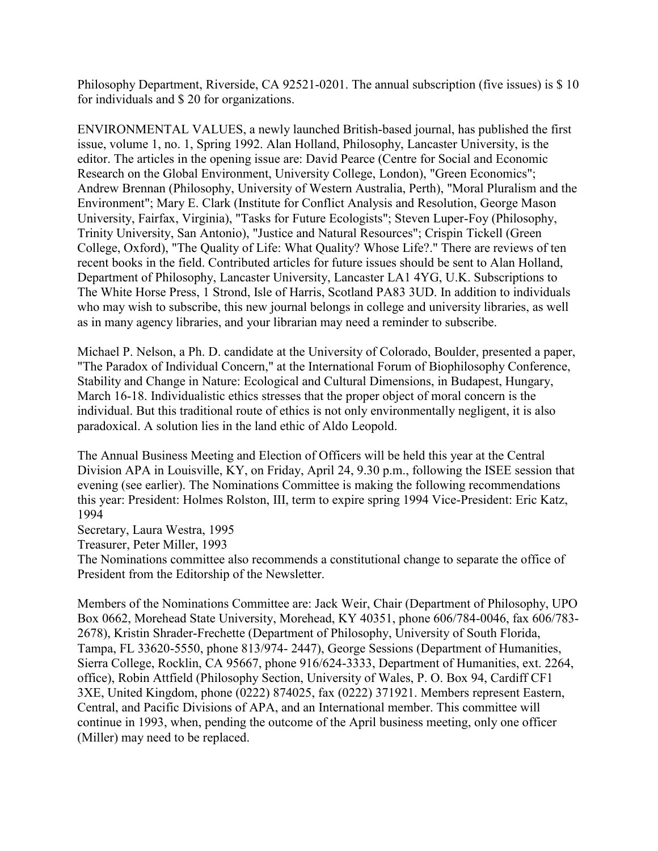Philosophy Department, Riverside, CA 92521-0201. The annual subscription (five issues) is \$ 10 for individuals and \$ 20 for organizations.

ENVIRONMENTAL VALUES, a newly launched British-based journal, has published the first issue, volume 1, no. 1, Spring 1992. Alan Holland, Philosophy, Lancaster University, is the editor. The articles in the opening issue are: David Pearce (Centre for Social and Economic Research on the Global Environment, University College, London), "Green Economics"; Andrew Brennan (Philosophy, University of Western Australia, Perth), "Moral Pluralism and the Environment"; Mary E. Clark (Institute for Conflict Analysis and Resolution, George Mason University, Fairfax, Virginia), "Tasks for Future Ecologists"; Steven Luper-Foy (Philosophy, Trinity University, San Antonio), "Justice and Natural Resources"; Crispin Tickell (Green College, Oxford), "The Quality of Life: What Quality? Whose Life?." There are reviews of ten recent books in the field. Contributed articles for future issues should be sent to Alan Holland, Department of Philosophy, Lancaster University, Lancaster LA1 4YG, U.K. Subscriptions to The White Horse Press, 1 Strond, Isle of Harris, Scotland PA83 3UD. In addition to individuals who may wish to subscribe, this new journal belongs in college and university libraries, as well as in many agency libraries, and your librarian may need a reminder to subscribe.

Michael P. Nelson, a Ph. D. candidate at the University of Colorado, Boulder, presented a paper, "The Paradox of Individual Concern," at the International Forum of Biophilosophy Conference, Stability and Change in Nature: Ecological and Cultural Dimensions, in Budapest, Hungary, March 16-18. Individualistic ethics stresses that the proper object of moral concern is the individual. But this traditional route of ethics is not only environmentally negligent, it is also paradoxical. A solution lies in the land ethic of Aldo Leopold.

The Annual Business Meeting and Election of Officers will be held this year at the Central Division APA in Louisville, KY, on Friday, April 24, 9.30 p.m., following the ISEE session that evening (see earlier). The Nominations Committee is making the following recommendations this year: President: Holmes Rolston, III, term to expire spring 1994 Vice-President: Eric Katz, 1994

Secretary, Laura Westra, 1995

Treasurer, Peter Miller, 1993

The Nominations committee also recommends a constitutional change to separate the office of President from the Editorship of the Newsletter.

Members of the Nominations Committee are: Jack Weir, Chair (Department of Philosophy, UPO Box 0662, Morehead State University, Morehead, KY 40351, phone 606/784-0046, fax 606/783- 2678), Kristin Shrader-Frechette (Department of Philosophy, University of South Florida, Tampa, FL 33620-5550, phone 813/974- 2447), George Sessions (Department of Humanities, Sierra College, Rocklin, CA 95667, phone 916/624-3333, Department of Humanities, ext. 2264, office), Robin Attfield (Philosophy Section, University of Wales, P. O. Box 94, Cardiff CF1 3XE, United Kingdom, phone (0222) 874025, fax (0222) 371921. Members represent Eastern, Central, and Pacific Divisions of APA, and an International member. This committee will continue in 1993, when, pending the outcome of the April business meeting, only one officer (Miller) may need to be replaced.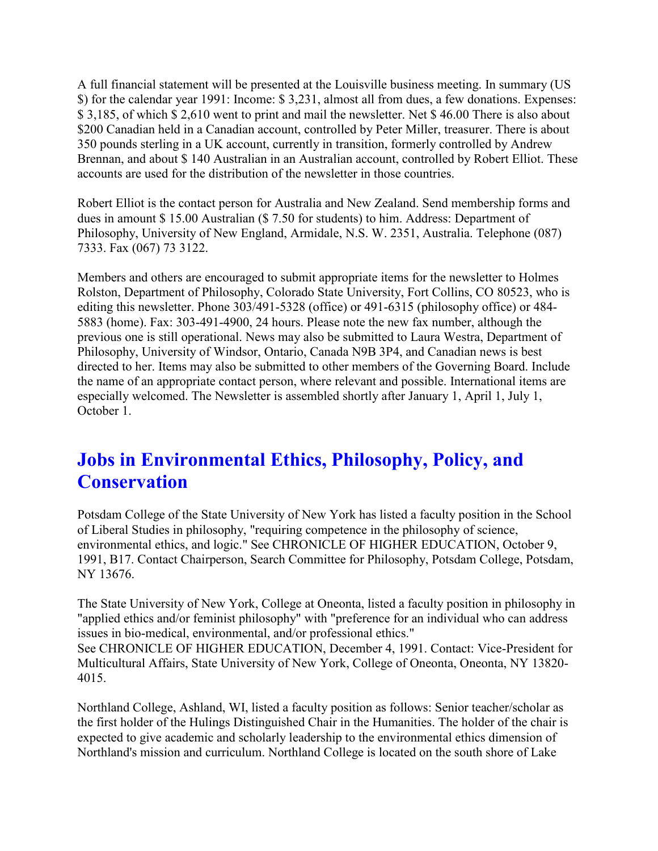A full financial statement will be presented at the Louisville business meeting. In summary (US \$) for the calendar year 1991: Income: \$ 3,231, almost all from dues, a few donations. Expenses: \$ 3,185, of which \$ 2,610 went to print and mail the newsletter. Net \$ 46.00 There is also about \$200 Canadian held in a Canadian account, controlled by Peter Miller, treasurer. There is about 350 pounds sterling in a UK account, currently in transition, formerly controlled by Andrew Brennan, and about \$ 140 Australian in an Australian account, controlled by Robert Elliot. These accounts are used for the distribution of the newsletter in those countries.

Robert Elliot is the contact person for Australia and New Zealand. Send membership forms and dues in amount \$ 15.00 Australian (\$ 7.50 for students) to him. Address: Department of Philosophy, University of New England, Armidale, N.S. W. 2351, Australia. Telephone (087) 7333. Fax (067) 73 3122.

Members and others are encouraged to submit appropriate items for the newsletter to Holmes Rolston, Department of Philosophy, Colorado State University, Fort Collins, CO 80523, who is editing this newsletter. Phone 303/491-5328 (office) or 491-6315 (philosophy office) or 484- 5883 (home). Fax: 303-491-4900, 24 hours. Please note the new fax number, although the previous one is still operational. News may also be submitted to Laura Westra, Department of Philosophy, University of Windsor, Ontario, Canada N9B 3P4, and Canadian news is best directed to her. Items may also be submitted to other members of the Governing Board. Include the name of an appropriate contact person, where relevant and possible. International items are especially welcomed. The Newsletter is assembled shortly after January 1, April 1, July 1, October 1.

## **Jobs in Environmental Ethics, Philosophy, Policy, and Conservation**

Potsdam College of the State University of New York has listed a faculty position in the School of Liberal Studies in philosophy, "requiring competence in the philosophy of science, environmental ethics, and logic." See CHRONICLE OF HIGHER EDUCATION, October 9, 1991, B17. Contact Chairperson, Search Committee for Philosophy, Potsdam College, Potsdam, NY 13676.

The State University of New York, College at Oneonta, listed a faculty position in philosophy in "applied ethics and/or feminist philosophy" with "preference for an individual who can address issues in bio-medical, environmental, and/or professional ethics." See CHRONICLE OF HIGHER EDUCATION, December 4, 1991. Contact: Vice-President for Multicultural Affairs, State University of New York, College of Oneonta, Oneonta, NY 13820- 4015.

Northland College, Ashland, WI, listed a faculty position as follows: Senior teacher/scholar as the first holder of the Hulings Distinguished Chair in the Humanities. The holder of the chair is expected to give academic and scholarly leadership to the environmental ethics dimension of Northland's mission and curriculum. Northland College is located on the south shore of Lake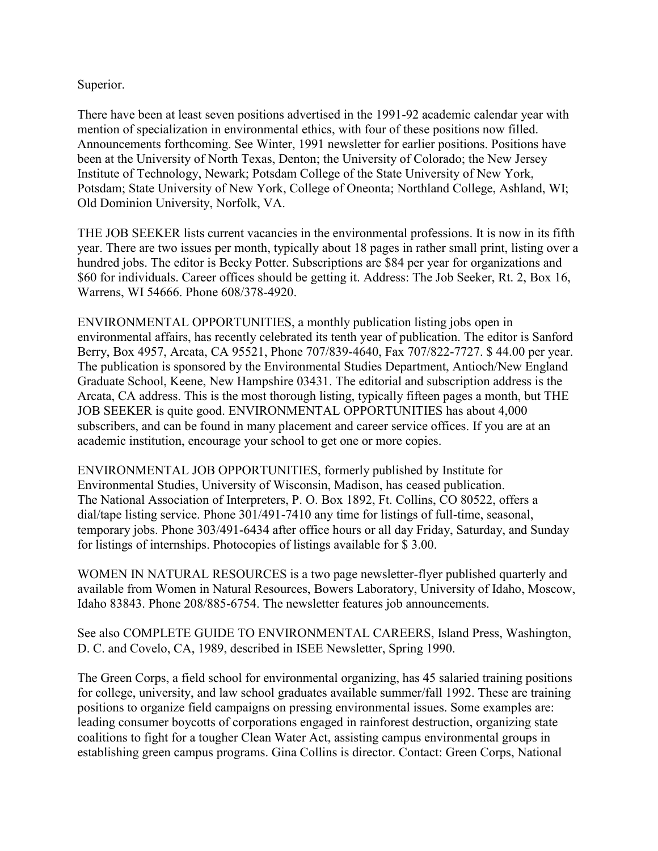#### Superior.

There have been at least seven positions advertised in the 1991-92 academic calendar year with mention of specialization in environmental ethics, with four of these positions now filled. Announcements forthcoming. See Winter, 1991 newsletter for earlier positions. Positions have been at the University of North Texas, Denton; the University of Colorado; the New Jersey Institute of Technology, Newark; Potsdam College of the State University of New York, Potsdam; State University of New York, College of Oneonta; Northland College, Ashland, WI; Old Dominion University, Norfolk, VA.

THE JOB SEEKER lists current vacancies in the environmental professions. It is now in its fifth year. There are two issues per month, typically about 18 pages in rather small print, listing over a hundred jobs. The editor is Becky Potter. Subscriptions are \$84 per year for organizations and \$60 for individuals. Career offices should be getting it. Address: The Job Seeker, Rt. 2, Box 16, Warrens, WI 54666. Phone 608/378-4920.

ENVIRONMENTAL OPPORTUNITIES, a monthly publication listing jobs open in environmental affairs, has recently celebrated its tenth year of publication. The editor is Sanford Berry, Box 4957, Arcata, CA 95521, Phone 707/839-4640, Fax 707/822-7727. \$ 44.00 per year. The publication is sponsored by the Environmental Studies Department, Antioch/New England Graduate School, Keene, New Hampshire 03431. The editorial and subscription address is the Arcata, CA address. This is the most thorough listing, typically fifteen pages a month, but THE JOB SEEKER is quite good. ENVIRONMENTAL OPPORTUNITIES has about 4,000 subscribers, and can be found in many placement and career service offices. If you are at an academic institution, encourage your school to get one or more copies.

ENVIRONMENTAL JOB OPPORTUNITIES, formerly published by Institute for Environmental Studies, University of Wisconsin, Madison, has ceased publication. The National Association of Interpreters, P. O. Box 1892, Ft. Collins, CO 80522, offers a dial/tape listing service. Phone 301/491-7410 any time for listings of full-time, seasonal, temporary jobs. Phone 303/491-6434 after office hours or all day Friday, Saturday, and Sunday for listings of internships. Photocopies of listings available for \$ 3.00.

WOMEN IN NATURAL RESOURCES is a two page newsletter-flyer published quarterly and available from Women in Natural Resources, Bowers Laboratory, University of Idaho, Moscow, Idaho 83843. Phone 208/885-6754. The newsletter features job announcements.

See also COMPLETE GUIDE TO ENVIRONMENTAL CAREERS, Island Press, Washington, D. C. and Covelo, CA, 1989, described in ISEE Newsletter, Spring 1990.

The Green Corps, a field school for environmental organizing, has 45 salaried training positions for college, university, and law school graduates available summer/fall 1992. These are training positions to organize field campaigns on pressing environmental issues. Some examples are: leading consumer boycotts of corporations engaged in rainforest destruction, organizing state coalitions to fight for a tougher Clean Water Act, assisting campus environmental groups in establishing green campus programs. Gina Collins is director. Contact: Green Corps, National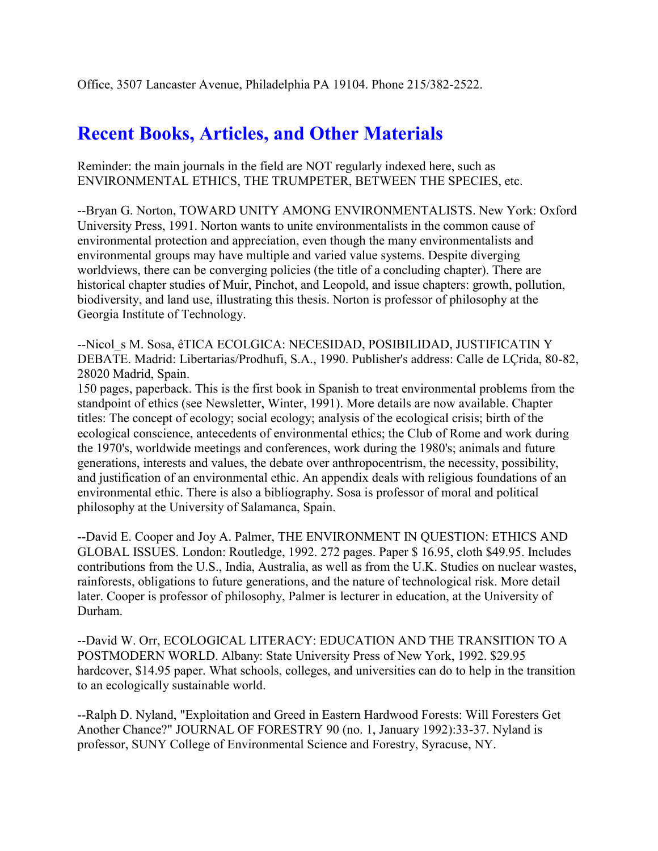## **Recent Books, Articles, and Other Materials**

Reminder: the main journals in the field are NOT regularly indexed here, such as ENVIRONMENTAL ETHICS, THE TRUMPETER, BETWEEN THE SPECIES, etc.

--Bryan G. Norton, TOWARD UNITY AMONG ENVIRONMENTALISTS. New York: Oxford University Press, 1991. Norton wants to unite environmentalists in the common cause of environmental protection and appreciation, even though the many environmentalists and environmental groups may have multiple and varied value systems. Despite diverging worldviews, there can be converging policies (the title of a concluding chapter). There are historical chapter studies of Muir, Pinchot, and Leopold, and issue chapters: growth, pollution, biodiversity, and land use, illustrating this thesis. Norton is professor of philosophy at the Georgia Institute of Technology.

--Nicol S M. Sosa, êTICA ECOLGICA: NECESIDAD, POSIBILIDAD, JUSTIFICATIN Y DEBATE. Madrid: Libertarias/Prodhufi, S.A., 1990. Publisher's address: Calle de LÇrida, 80-82, 28020 Madrid, Spain.

150 pages, paperback. This is the first book in Spanish to treat environmental problems from the standpoint of ethics (see Newsletter, Winter, 1991). More details are now available. Chapter titles: The concept of ecology; social ecology; analysis of the ecological crisis; birth of the ecological conscience, antecedents of environmental ethics; the Club of Rome and work during the 1970's, worldwide meetings and conferences, work during the 1980's; animals and future generations, interests and values, the debate over anthropocentrism, the necessity, possibility, and justification of an environmental ethic. An appendix deals with religious foundations of an environmental ethic. There is also a bibliography. Sosa is professor of moral and political philosophy at the University of Salamanca, Spain.

--David E. Cooper and Joy A. Palmer, THE ENVIRONMENT IN QUESTION: ETHICS AND GLOBAL ISSUES. London: Routledge, 1992. 272 pages. Paper \$ 16.95, cloth \$49.95. Includes contributions from the U.S., India, Australia, as well as from the U.K. Studies on nuclear wastes, rainforests, obligations to future generations, and the nature of technological risk. More detail later. Cooper is professor of philosophy, Palmer is lecturer in education, at the University of Durham.

--David W. Orr, ECOLOGICAL LITERACY: EDUCATION AND THE TRANSITION TO A POSTMODERN WORLD. Albany: State University Press of New York, 1992. \$29.95 hardcover, \$14.95 paper. What schools, colleges, and universities can do to help in the transition to an ecologically sustainable world.

--Ralph D. Nyland, "Exploitation and Greed in Eastern Hardwood Forests: Will Foresters Get Another Chance?" JOURNAL OF FORESTRY 90 (no. 1, January 1992):33-37. Nyland is professor, SUNY College of Environmental Science and Forestry, Syracuse, NY.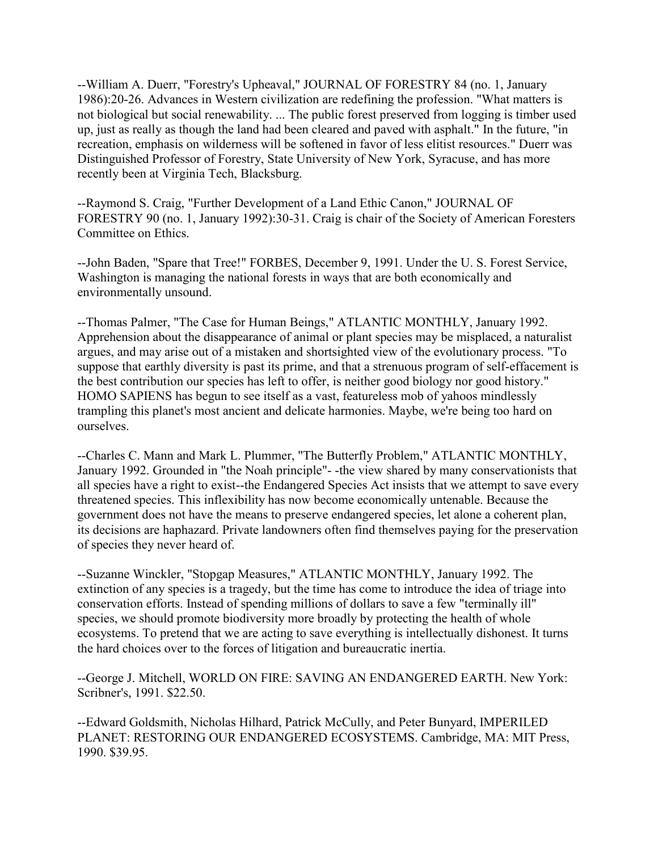--William A. Duerr, "Forestry's Upheaval," JOURNAL OF FORESTRY 84 (no. 1, January 1986):20-26. Advances in Western civilization are redefining the profession. "What matters is not biological but social renewability. ... The public forest preserved from logging is timber used up, just as really as though the land had been cleared and paved with asphalt." In the future, "in recreation, emphasis on wilderness will be softened in favor of less elitist resources." Duerr was Distinguished Professor of Forestry, State University of New York, Syracuse, and has more recently been at Virginia Tech, Blacksburg.

--Raymond S. Craig, "Further Development of a Land Ethic Canon," JOURNAL OF FORESTRY 90 (no. 1, January 1992):30-31. Craig is chair of the Society of American Foresters Committee on Ethics.

--John Baden, "Spare that Tree!" FORBES, December 9, 1991. Under the U. S. Forest Service, Washington is managing the national forests in ways that are both economically and environmentally unsound.

--Thomas Palmer, "The Case for Human Beings," ATLANTIC MONTHLY, January 1992. Apprehension about the disappearance of animal or plant species may be misplaced, a naturalist argues, and may arise out of a mistaken and shortsighted view of the evolutionary process. "To suppose that earthly diversity is past its prime, and that a strenuous program of self-effacement is the best contribution our species has left to offer, is neither good biology nor good history." HOMO SAPIENS has begun to see itself as a vast, featureless mob of yahoos mindlessly trampling this planet's most ancient and delicate harmonies. Maybe, we're being too hard on ourselves.

--Charles C. Mann and Mark L. Plummer, "The Butterfly Problem," ATLANTIC MONTHLY, January 1992. Grounded in "the Noah principle"- -the view shared by many conservationists that all species have a right to exist--the Endangered Species Act insists that we attempt to save every threatened species. This inflexibility has now become economically untenable. Because the government does not have the means to preserve endangered species, let alone a coherent plan, its decisions are haphazard. Private landowners often find themselves paying for the preservation of species they never heard of.

--Suzanne Winckler, "Stopgap Measures," ATLANTIC MONTHLY, January 1992. The extinction of any species is a tragedy, but the time has come to introduce the idea of triage into conservation efforts. Instead of spending millions of dollars to save a few "terminally ill" species, we should promote biodiversity more broadly by protecting the health of whole ecosystems. To pretend that we are acting to save everything is intellectually dishonest. It turns the hard choices over to the forces of litigation and bureaucratic inertia.

--George J. Mitchell, WORLD ON FIRE: SAVING AN ENDANGERED EARTH. New York: Scribner's, 1991. \$22.50.

--Edward Goldsmith, Nicholas Hilhard, Patrick McCully, and Peter Bunyard, IMPERILED PLANET: RESTORING OUR ENDANGERED ECOSYSTEMS. Cambridge, MA: MIT Press, 1990. \$39.95.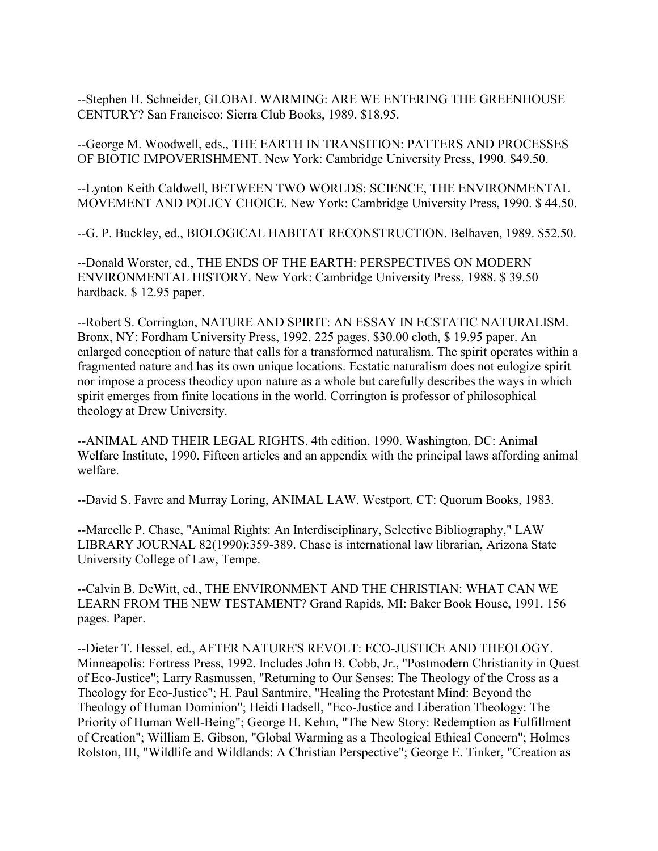--Stephen H. Schneider, GLOBAL WARMING: ARE WE ENTERING THE GREENHOUSE CENTURY? San Francisco: Sierra Club Books, 1989. \$18.95.

--George M. Woodwell, eds., THE EARTH IN TRANSITION: PATTERS AND PROCESSES OF BIOTIC IMPOVERISHMENT. New York: Cambridge University Press, 1990. \$49.50.

--Lynton Keith Caldwell, BETWEEN TWO WORLDS: SCIENCE, THE ENVIRONMENTAL MOVEMENT AND POLICY CHOICE. New York: Cambridge University Press, 1990. \$ 44.50.

--G. P. Buckley, ed., BIOLOGICAL HABITAT RECONSTRUCTION. Belhaven, 1989. \$52.50.

--Donald Worster, ed., THE ENDS OF THE EARTH: PERSPECTIVES ON MODERN ENVIRONMENTAL HISTORY. New York: Cambridge University Press, 1988. \$ 39.50 hardback. \$ 12.95 paper.

--Robert S. Corrington, NATURE AND SPIRIT: AN ESSAY IN ECSTATIC NATURALISM. Bronx, NY: Fordham University Press, 1992. 225 pages. \$30.00 cloth, \$ 19.95 paper. An enlarged conception of nature that calls for a transformed naturalism. The spirit operates within a fragmented nature and has its own unique locations. Ecstatic naturalism does not eulogize spirit nor impose a process theodicy upon nature as a whole but carefully describes the ways in which spirit emerges from finite locations in the world. Corrington is professor of philosophical theology at Drew University.

--ANIMAL AND THEIR LEGAL RIGHTS. 4th edition, 1990. Washington, DC: Animal Welfare Institute, 1990. Fifteen articles and an appendix with the principal laws affording animal welfare.

--David S. Favre and Murray Loring, ANIMAL LAW. Westport, CT: Quorum Books, 1983.

--Marcelle P. Chase, "Animal Rights: An Interdisciplinary, Selective Bibliography," LAW LIBRARY JOURNAL 82(1990):359-389. Chase is international law librarian, Arizona State University College of Law, Tempe.

--Calvin B. DeWitt, ed., THE ENVIRONMENT AND THE CHRISTIAN: WHAT CAN WE LEARN FROM THE NEW TESTAMENT? Grand Rapids, MI: Baker Book House, 1991. 156 pages. Paper.

--Dieter T. Hessel, ed., AFTER NATURE'S REVOLT: ECO-JUSTICE AND THEOLOGY. Minneapolis: Fortress Press, 1992. Includes John B. Cobb, Jr., "Postmodern Christianity in Quest of Eco-Justice"; Larry Rasmussen, "Returning to Our Senses: The Theology of the Cross as a Theology for Eco-Justice"; H. Paul Santmire, "Healing the Protestant Mind: Beyond the Theology of Human Dominion"; Heidi Hadsell, "Eco-Justice and Liberation Theology: The Priority of Human Well-Being"; George H. Kehm, "The New Story: Redemption as Fulfillment of Creation"; William E. Gibson, "Global Warming as a Theological Ethical Concern"; Holmes Rolston, III, "Wildlife and Wildlands: A Christian Perspective"; George E. Tinker, "Creation as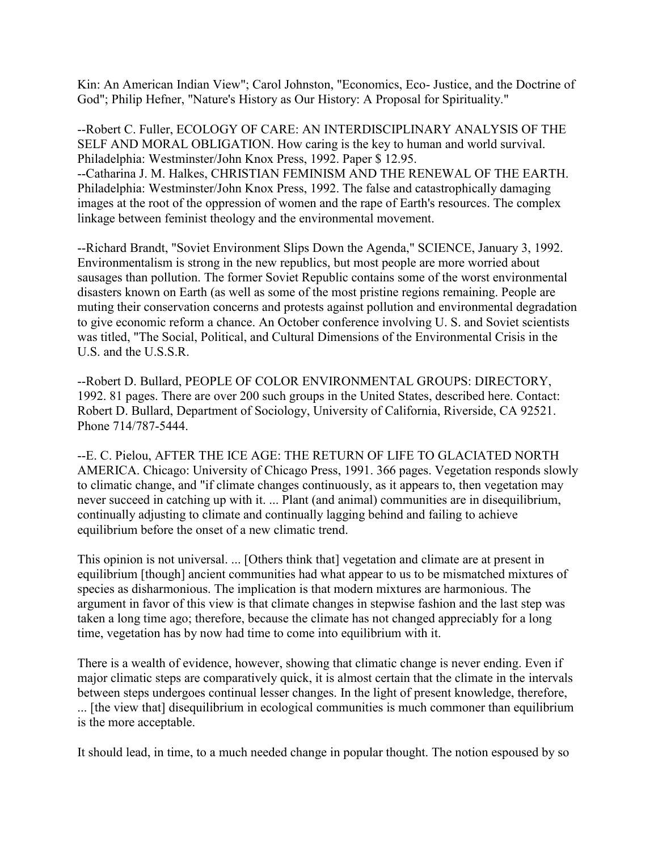Kin: An American Indian View"; Carol Johnston, "Economics, Eco- Justice, and the Doctrine of God"; Philip Hefner, "Nature's History as Our History: A Proposal for Spirituality."

--Robert C. Fuller, ECOLOGY OF CARE: AN INTERDISCIPLINARY ANALYSIS OF THE SELF AND MORAL OBLIGATION. How caring is the key to human and world survival. Philadelphia: Westminster/John Knox Press, 1992. Paper \$ 12.95. --Catharina J. M. Halkes, CHRISTIAN FEMINISM AND THE RENEWAL OF THE EARTH. Philadelphia: Westminster/John Knox Press, 1992. The false and catastrophically damaging images at the root of the oppression of women and the rape of Earth's resources. The complex linkage between feminist theology and the environmental movement.

--Richard Brandt, "Soviet Environment Slips Down the Agenda," SCIENCE, January 3, 1992. Environmentalism is strong in the new republics, but most people are more worried about sausages than pollution. The former Soviet Republic contains some of the worst environmental disasters known on Earth (as well as some of the most pristine regions remaining. People are muting their conservation concerns and protests against pollution and environmental degradation to give economic reform a chance. An October conference involving U. S. and Soviet scientists was titled, "The Social, Political, and Cultural Dimensions of the Environmental Crisis in the U.S. and the U.S.S.R.

--Robert D. Bullard, PEOPLE OF COLOR ENVIRONMENTAL GROUPS: DIRECTORY, 1992. 81 pages. There are over 200 such groups in the United States, described here. Contact: Robert D. Bullard, Department of Sociology, University of California, Riverside, CA 92521. Phone 714/787-5444.

--E. C. Pielou, AFTER THE ICE AGE: THE RETURN OF LIFE TO GLACIATED NORTH AMERICA. Chicago: University of Chicago Press, 1991. 366 pages. Vegetation responds slowly to climatic change, and "if climate changes continuously, as it appears to, then vegetation may never succeed in catching up with it. ... Plant (and animal) communities are in disequilibrium, continually adjusting to climate and continually lagging behind and failing to achieve equilibrium before the onset of a new climatic trend.

This opinion is not universal. ... [Others think that] vegetation and climate are at present in equilibrium [though] ancient communities had what appear to us to be mismatched mixtures of species as disharmonious. The implication is that modern mixtures are harmonious. The argument in favor of this view is that climate changes in stepwise fashion and the last step was taken a long time ago; therefore, because the climate has not changed appreciably for a long time, vegetation has by now had time to come into equilibrium with it.

There is a wealth of evidence, however, showing that climatic change is never ending. Even if major climatic steps are comparatively quick, it is almost certain that the climate in the intervals between steps undergoes continual lesser changes. In the light of present knowledge, therefore, ... [the view that] disequilibrium in ecological communities is much commoner than equilibrium is the more acceptable.

It should lead, in time, to a much needed change in popular thought. The notion espoused by so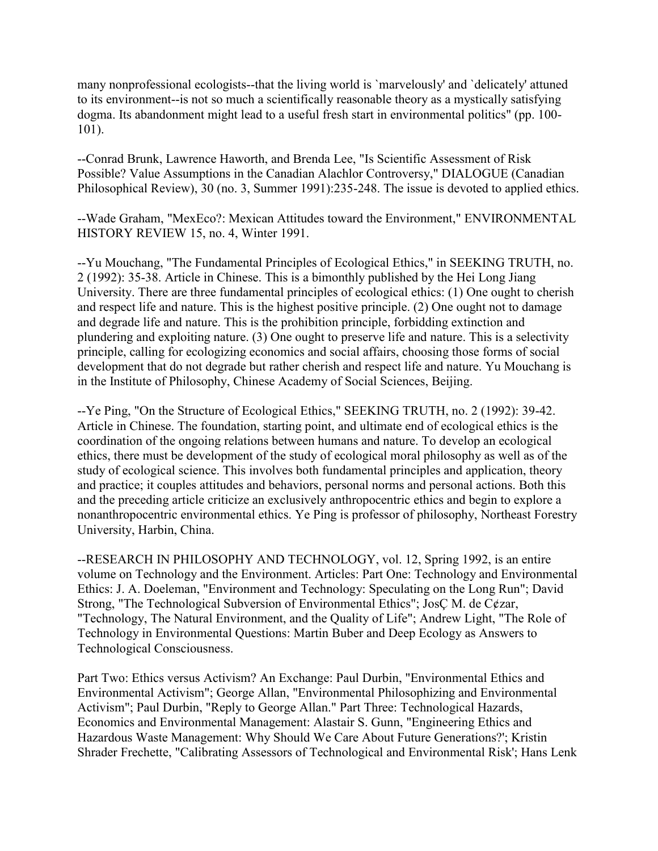many nonprofessional ecologists--that the living world is `marvelously' and `delicately' attuned to its environment--is not so much a scientifically reasonable theory as a mystically satisfying dogma. Its abandonment might lead to a useful fresh start in environmental politics" (pp. 100- 101).

--Conrad Brunk, Lawrence Haworth, and Brenda Lee, "Is Scientific Assessment of Risk Possible? Value Assumptions in the Canadian Alachlor Controversy," DIALOGUE (Canadian Philosophical Review), 30 (no. 3, Summer 1991):235-248. The issue is devoted to applied ethics.

--Wade Graham, "MexEco?: Mexican Attitudes toward the Environment," ENVIRONMENTAL HISTORY REVIEW 15, no. 4, Winter 1991.

--Yu Mouchang, "The Fundamental Principles of Ecological Ethics," in SEEKING TRUTH, no. 2 (1992): 35-38. Article in Chinese. This is a bimonthly published by the Hei Long Jiang University. There are three fundamental principles of ecological ethics: (1) One ought to cherish and respect life and nature. This is the highest positive principle. (2) One ought not to damage and degrade life and nature. This is the prohibition principle, forbidding extinction and plundering and exploiting nature. (3) One ought to preserve life and nature. This is a selectivity principle, calling for ecologizing economics and social affairs, choosing those forms of social development that do not degrade but rather cherish and respect life and nature. Yu Mouchang is in the Institute of Philosophy, Chinese Academy of Social Sciences, Beijing.

--Ye Ping, "On the Structure of Ecological Ethics," SEEKING TRUTH, no. 2 (1992): 39-42. Article in Chinese. The foundation, starting point, and ultimate end of ecological ethics is the coordination of the ongoing relations between humans and nature. To develop an ecological ethics, there must be development of the study of ecological moral philosophy as well as of the study of ecological science. This involves both fundamental principles and application, theory and practice; it couples attitudes and behaviors, personal norms and personal actions. Both this and the preceding article criticize an exclusively anthropocentric ethics and begin to explore a nonanthropocentric environmental ethics. Ye Ping is professor of philosophy, Northeast Forestry University, Harbin, China.

--RESEARCH IN PHILOSOPHY AND TECHNOLOGY, vol. 12, Spring 1992, is an entire volume on Technology and the Environment. Articles: Part One: Technology and Environmental Ethics: J. A. Doeleman, "Environment and Technology: Speculating on the Long Run"; David Strong, "The Technological Subversion of Environmental Ethics"; JosÇ M. de C¢zar, "Technology, The Natural Environment, and the Quality of Life"; Andrew Light, "The Role of Technology in Environmental Questions: Martin Buber and Deep Ecology as Answers to Technological Consciousness.

Part Two: Ethics versus Activism? An Exchange: Paul Durbin, "Environmental Ethics and Environmental Activism"; George Allan, "Environmental Philosophizing and Environmental Activism"; Paul Durbin, "Reply to George Allan." Part Three: Technological Hazards, Economics and Environmental Management: Alastair S. Gunn, "Engineering Ethics and Hazardous Waste Management: Why Should We Care About Future Generations?'; Kristin Shrader Frechette, "Calibrating Assessors of Technological and Environmental Risk'; Hans Lenk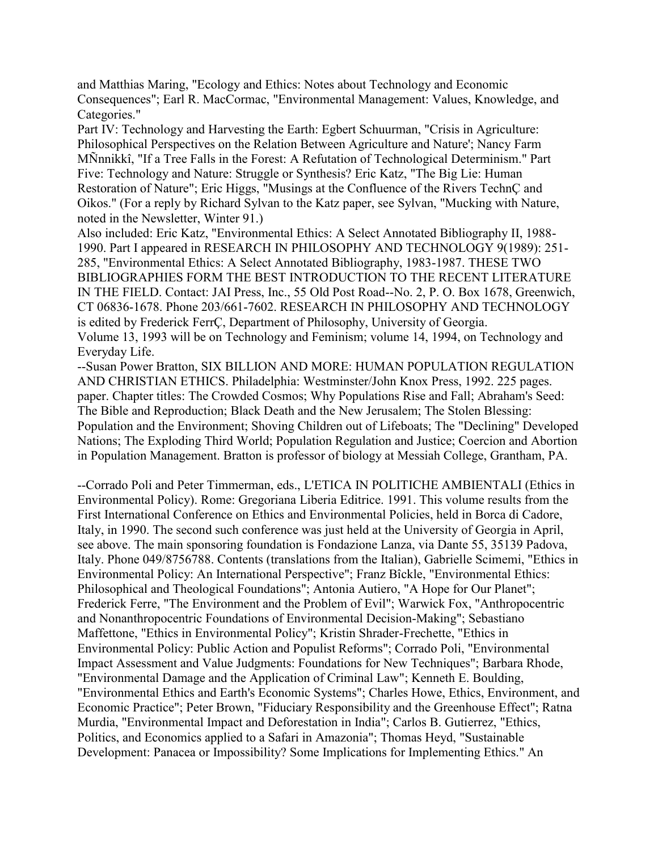and Matthias Maring, "Ecology and Ethics: Notes about Technology and Economic Consequences"; Earl R. MacCormac, "Environmental Management: Values, Knowledge, and Categories."

Part IV: Technology and Harvesting the Earth: Egbert Schuurman, "Crisis in Agriculture: Philosophical Perspectives on the Relation Between Agriculture and Nature'; Nancy Farm MÑnnikkî, "If a Tree Falls in the Forest: A Refutation of Technological Determinism." Part Five: Technology and Nature: Struggle or Synthesis? Eric Katz, "The Big Lie: Human Restoration of Nature"; Eric Higgs, "Musings at the Confluence of the Rivers TechnÇ and Oikos." (For a reply by Richard Sylvan to the Katz paper, see Sylvan, "Mucking with Nature, noted in the Newsletter, Winter 91.)

Also included: Eric Katz, "Environmental Ethics: A Select Annotated Bibliography II, 1988- 1990. Part I appeared in RESEARCH IN PHILOSOPHY AND TECHNOLOGY 9(1989): 251- 285, "Environmental Ethics: A Select Annotated Bibliography, 1983-1987. THESE TWO BIBLIOGRAPHIES FORM THE BEST INTRODUCTION TO THE RECENT LITERATURE IN THE FIELD. Contact: JAI Press, Inc., 55 Old Post Road--No. 2, P. O. Box 1678, Greenwich, CT 06836-1678. Phone 203/661-7602. RESEARCH IN PHILOSOPHY AND TECHNOLOGY is edited by Frederick FerrÇ, Department of Philosophy, University of Georgia. Volume 13, 1993 will be on Technology and Feminism; volume 14, 1994, on Technology and Everyday Life.

--Susan Power Bratton, SIX BILLION AND MORE: HUMAN POPULATION REGULATION AND CHRISTIAN ETHICS. Philadelphia: Westminster/John Knox Press, 1992. 225 pages. paper. Chapter titles: The Crowded Cosmos; Why Populations Rise and Fall; Abraham's Seed: The Bible and Reproduction; Black Death and the New Jerusalem; The Stolen Blessing: Population and the Environment; Shoving Children out of Lifeboats; The "Declining" Developed Nations; The Exploding Third World; Population Regulation and Justice; Coercion and Abortion in Population Management. Bratton is professor of biology at Messiah College, Grantham, PA.

--Corrado Poli and Peter Timmerman, eds., L'ETICA IN POLITICHE AMBIENTALI (Ethics in Environmental Policy). Rome: Gregoriana Liberia Editrice. 1991. This volume results from the First International Conference on Ethics and Environmental Policies, held in Borca di Cadore, Italy, in 1990. The second such conference was just held at the University of Georgia in April, see above. The main sponsoring foundation is Fondazione Lanza, via Dante 55, 35139 Padova, Italy. Phone 049/8756788. Contents (translations from the Italian), Gabrielle Scimemi, "Ethics in Environmental Policy: An International Perspective"; Franz Bîckle, "Environmental Ethics: Philosophical and Theological Foundations"; Antonia Autiero, "A Hope for Our Planet"; Frederick Ferre, "The Environment and the Problem of Evil"; Warwick Fox, "Anthropocentric and Nonanthropocentric Foundations of Environmental Decision-Making"; Sebastiano Maffettone, "Ethics in Environmental Policy"; Kristin Shrader-Frechette, "Ethics in Environmental Policy: Public Action and Populist Reforms"; Corrado Poli, "Environmental Impact Assessment and Value Judgments: Foundations for New Techniques"; Barbara Rhode, "Environmental Damage and the Application of Criminal Law"; Kenneth E. Boulding, "Environmental Ethics and Earth's Economic Systems"; Charles Howe, Ethics, Environment, and Economic Practice"; Peter Brown, "Fiduciary Responsibility and the Greenhouse Effect"; Ratna Murdia, "Environmental Impact and Deforestation in India"; Carlos B. Gutierrez, "Ethics, Politics, and Economics applied to a Safari in Amazonia"; Thomas Heyd, "Sustainable Development: Panacea or Impossibility? Some Implications for Implementing Ethics." An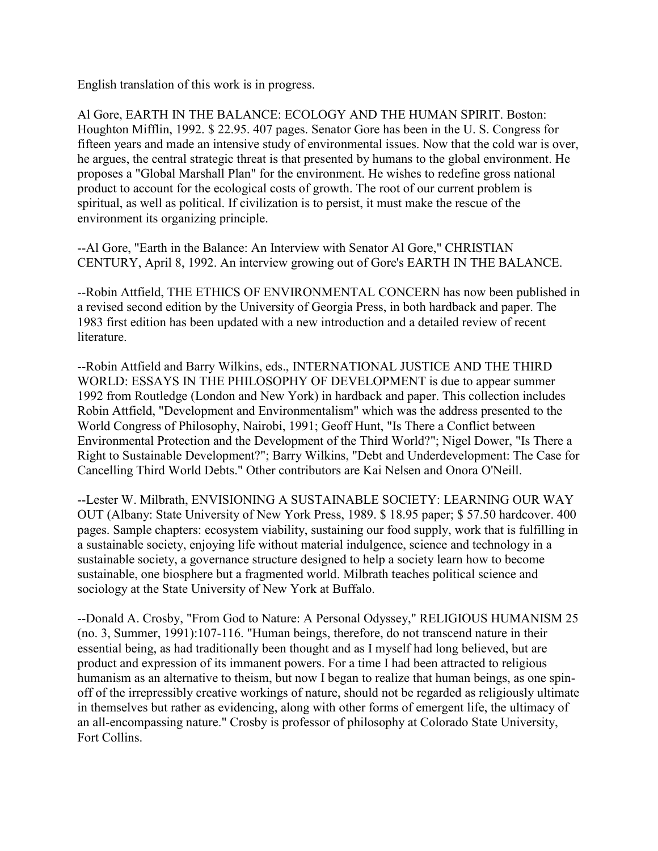English translation of this work is in progress.

Al Gore, EARTH IN THE BALANCE: ECOLOGY AND THE HUMAN SPIRIT. Boston: Houghton Mifflin, 1992. \$ 22.95. 407 pages. Senator Gore has been in the U. S. Congress for fifteen years and made an intensive study of environmental issues. Now that the cold war is over, he argues, the central strategic threat is that presented by humans to the global environment. He proposes a "Global Marshall Plan" for the environment. He wishes to redefine gross national product to account for the ecological costs of growth. The root of our current problem is spiritual, as well as political. If civilization is to persist, it must make the rescue of the environment its organizing principle.

--Al Gore, "Earth in the Balance: An Interview with Senator Al Gore," CHRISTIAN CENTURY, April 8, 1992. An interview growing out of Gore's EARTH IN THE BALANCE.

--Robin Attfield, THE ETHICS OF ENVIRONMENTAL CONCERN has now been published in a revised second edition by the University of Georgia Press, in both hardback and paper. The 1983 first edition has been updated with a new introduction and a detailed review of recent literature.

--Robin Attfield and Barry Wilkins, eds., INTERNATIONAL JUSTICE AND THE THIRD WORLD: ESSAYS IN THE PHILOSOPHY OF DEVELOPMENT is due to appear summer 1992 from Routledge (London and New York) in hardback and paper. This collection includes Robin Attfield, "Development and Environmentalism" which was the address presented to the World Congress of Philosophy, Nairobi, 1991; Geoff Hunt, "Is There a Conflict between Environmental Protection and the Development of the Third World?"; Nigel Dower, "Is There a Right to Sustainable Development?"; Barry Wilkins, "Debt and Underdevelopment: The Case for Cancelling Third World Debts." Other contributors are Kai Nelsen and Onora O'Neill.

--Lester W. Milbrath, ENVISIONING A SUSTAINABLE SOCIETY: LEARNING OUR WAY OUT (Albany: State University of New York Press, 1989. \$ 18.95 paper; \$ 57.50 hardcover. 400 pages. Sample chapters: ecosystem viability, sustaining our food supply, work that is fulfilling in a sustainable society, enjoying life without material indulgence, science and technology in a sustainable society, a governance structure designed to help a society learn how to become sustainable, one biosphere but a fragmented world. Milbrath teaches political science and sociology at the State University of New York at Buffalo.

--Donald A. Crosby, "From God to Nature: A Personal Odyssey," RELIGIOUS HUMANISM 25 (no. 3, Summer, 1991):107-116. "Human beings, therefore, do not transcend nature in their essential being, as had traditionally been thought and as I myself had long believed, but are product and expression of its immanent powers. For a time I had been attracted to religious humanism as an alternative to theism, but now I began to realize that human beings, as one spinoff of the irrepressibly creative workings of nature, should not be regarded as religiously ultimate in themselves but rather as evidencing, along with other forms of emergent life, the ultimacy of an all-encompassing nature." Crosby is professor of philosophy at Colorado State University, Fort Collins.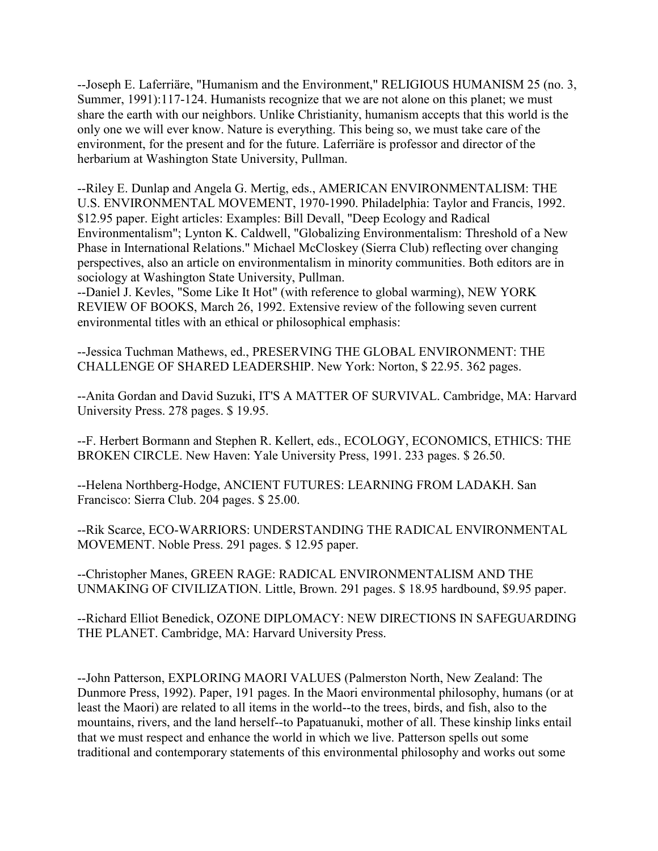--Joseph E. Laferriäre, "Humanism and the Environment," RELIGIOUS HUMANISM 25 (no. 3, Summer, 1991):117-124. Humanists recognize that we are not alone on this planet; we must share the earth with our neighbors. Unlike Christianity, humanism accepts that this world is the only one we will ever know. Nature is everything. This being so, we must take care of the environment, for the present and for the future. Laferriäre is professor and director of the herbarium at Washington State University, Pullman.

--Riley E. Dunlap and Angela G. Mertig, eds., AMERICAN ENVIRONMENTALISM: THE U.S. ENVIRONMENTAL MOVEMENT, 1970-1990. Philadelphia: Taylor and Francis, 1992. \$12.95 paper. Eight articles: Examples: Bill Devall, "Deep Ecology and Radical Environmentalism"; Lynton K. Caldwell, "Globalizing Environmentalism: Threshold of a New Phase in International Relations." Michael McCloskey (Sierra Club) reflecting over changing perspectives, also an article on environmentalism in minority communities. Both editors are in sociology at Washington State University, Pullman.

--Daniel J. Kevles, "Some Like It Hot" (with reference to global warming), NEW YORK REVIEW OF BOOKS, March 26, 1992. Extensive review of the following seven current environmental titles with an ethical or philosophical emphasis:

--Jessica Tuchman Mathews, ed., PRESERVING THE GLOBAL ENVIRONMENT: THE CHALLENGE OF SHARED LEADERSHIP. New York: Norton, \$ 22.95. 362 pages.

--Anita Gordan and David Suzuki, IT'S A MATTER OF SURVIVAL. Cambridge, MA: Harvard University Press. 278 pages. \$ 19.95.

--F. Herbert Bormann and Stephen R. Kellert, eds., ECOLOGY, ECONOMICS, ETHICS: THE BROKEN CIRCLE. New Haven: Yale University Press, 1991. 233 pages. \$ 26.50.

--Helena Northberg-Hodge, ANCIENT FUTURES: LEARNING FROM LADAKH. San Francisco: Sierra Club. 204 pages. \$ 25.00.

--Rik Scarce, ECO-WARRIORS: UNDERSTANDING THE RADICAL ENVIRONMENTAL MOVEMENT. Noble Press. 291 pages. \$ 12.95 paper.

--Christopher Manes, GREEN RAGE: RADICAL ENVIRONMENTALISM AND THE UNMAKING OF CIVILIZATION. Little, Brown. 291 pages. \$ 18.95 hardbound, \$9.95 paper.

--Richard Elliot Benedick, OZONE DIPLOMACY: NEW DIRECTIONS IN SAFEGUARDING THE PLANET. Cambridge, MA: Harvard University Press.

--John Patterson, EXPLORING MAORI VALUES (Palmerston North, New Zealand: The Dunmore Press, 1992). Paper, 191 pages. In the Maori environmental philosophy, humans (or at least the Maori) are related to all items in the world--to the trees, birds, and fish, also to the mountains, rivers, and the land herself--to Papatuanuki, mother of all. These kinship links entail that we must respect and enhance the world in which we live. Patterson spells out some traditional and contemporary statements of this environmental philosophy and works out some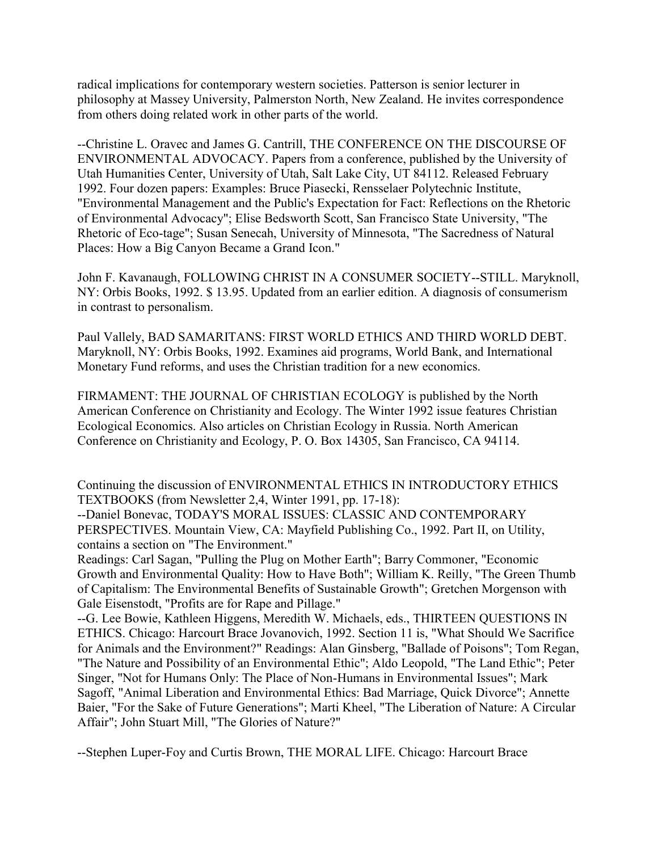radical implications for contemporary western societies. Patterson is senior lecturer in philosophy at Massey University, Palmerston North, New Zealand. He invites correspondence from others doing related work in other parts of the world.

--Christine L. Oravec and James G. Cantrill, THE CONFERENCE ON THE DISCOURSE OF ENVIRONMENTAL ADVOCACY. Papers from a conference, published by the University of Utah Humanities Center, University of Utah, Salt Lake City, UT 84112. Released February 1992. Four dozen papers: Examples: Bruce Piasecki, Rensselaer Polytechnic Institute, "Environmental Management and the Public's Expectation for Fact: Reflections on the Rhetoric of Environmental Advocacy"; Elise Bedsworth Scott, San Francisco State University, "The Rhetoric of Eco-tage"; Susan Senecah, University of Minnesota, "The Sacredness of Natural Places: How a Big Canyon Became a Grand Icon."

John F. Kavanaugh, FOLLOWING CHRIST IN A CONSUMER SOCIETY--STILL. Maryknoll, NY: Orbis Books, 1992. \$ 13.95. Updated from an earlier edition. A diagnosis of consumerism in contrast to personalism.

Paul Vallely, BAD SAMARITANS: FIRST WORLD ETHICS AND THIRD WORLD DEBT. Maryknoll, NY: Orbis Books, 1992. Examines aid programs, World Bank, and International Monetary Fund reforms, and uses the Christian tradition for a new economics.

FIRMAMENT: THE JOURNAL OF CHRISTIAN ECOLOGY is published by the North American Conference on Christianity and Ecology. The Winter 1992 issue features Christian Ecological Economics. Also articles on Christian Ecology in Russia. North American Conference on Christianity and Ecology, P. O. Box 14305, San Francisco, CA 94114.

Continuing the discussion of ENVIRONMENTAL ETHICS IN INTRODUCTORY ETHICS TEXTBOOKS (from Newsletter 2,4, Winter 1991, pp. 17-18):

--Daniel Bonevac, TODAY'S MORAL ISSUES: CLASSIC AND CONTEMPORARY PERSPECTIVES. Mountain View, CA: Mayfield Publishing Co., 1992. Part II, on Utility, contains a section on "The Environment."

Readings: Carl Sagan, "Pulling the Plug on Mother Earth"; Barry Commoner, "Economic Growth and Environmental Quality: How to Have Both"; William K. Reilly, "The Green Thumb of Capitalism: The Environmental Benefits of Sustainable Growth"; Gretchen Morgenson with Gale Eisenstodt, "Profits are for Rape and Pillage."

--G. Lee Bowie, Kathleen Higgens, Meredith W. Michaels, eds., THIRTEEN QUESTIONS IN ETHICS. Chicago: Harcourt Brace Jovanovich, 1992. Section 11 is, "What Should We Sacrifice for Animals and the Environment?" Readings: Alan Ginsberg, "Ballade of Poisons"; Tom Regan, "The Nature and Possibility of an Environmental Ethic"; Aldo Leopold, "The Land Ethic"; Peter Singer, "Not for Humans Only: The Place of Non-Humans in Environmental Issues"; Mark Sagoff, "Animal Liberation and Environmental Ethics: Bad Marriage, Quick Divorce"; Annette Baier, "For the Sake of Future Generations"; Marti Kheel, "The Liberation of Nature: A Circular Affair"; John Stuart Mill, "The Glories of Nature?"

--Stephen Luper-Foy and Curtis Brown, THE MORAL LIFE. Chicago: Harcourt Brace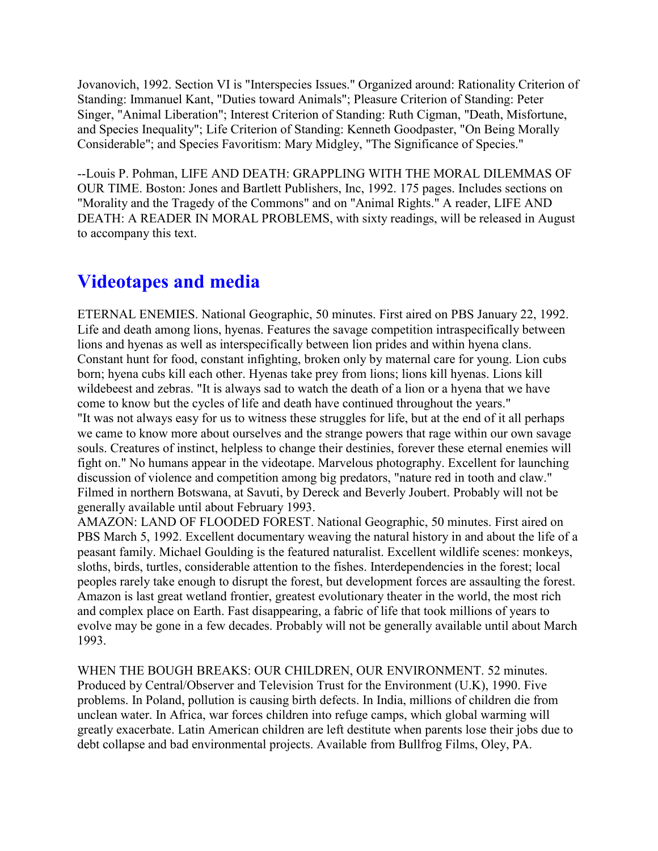Jovanovich, 1992. Section VI is "Interspecies Issues." Organized around: Rationality Criterion of Standing: Immanuel Kant, "Duties toward Animals"; Pleasure Criterion of Standing: Peter Singer, "Animal Liberation"; Interest Criterion of Standing: Ruth Cigman, "Death, Misfortune, and Species Inequality"; Life Criterion of Standing: Kenneth Goodpaster, "On Being Morally Considerable"; and Species Favoritism: Mary Midgley, "The Significance of Species."

--Louis P. Pohman, LIFE AND DEATH: GRAPPLING WITH THE MORAL DILEMMAS OF OUR TIME. Boston: Jones and Bartlett Publishers, Inc, 1992. 175 pages. Includes sections on "Morality and the Tragedy of the Commons" and on "Animal Rights." A reader, LIFE AND DEATH: A READER IN MORAL PROBLEMS, with sixty readings, will be released in August to accompany this text.

## **Videotapes and media**

ETERNAL ENEMIES. National Geographic, 50 minutes. First aired on PBS January 22, 1992. Life and death among lions, hyenas. Features the savage competition intraspecifically between lions and hyenas as well as interspecifically between lion prides and within hyena clans. Constant hunt for food, constant infighting, broken only by maternal care for young. Lion cubs born; hyena cubs kill each other. Hyenas take prey from lions; lions kill hyenas. Lions kill wildebeest and zebras. "It is always sad to watch the death of a lion or a hyena that we have come to know but the cycles of life and death have continued throughout the years." "It was not always easy for us to witness these struggles for life, but at the end of it all perhaps we came to know more about ourselves and the strange powers that rage within our own savage souls. Creatures of instinct, helpless to change their destinies, forever these eternal enemies will fight on." No humans appear in the videotape. Marvelous photography. Excellent for launching discussion of violence and competition among big predators, "nature red in tooth and claw." Filmed in northern Botswana, at Savuti, by Dereck and Beverly Joubert. Probably will not be generally available until about February 1993.

AMAZON: LAND OF FLOODED FOREST. National Geographic, 50 minutes. First aired on PBS March 5, 1992. Excellent documentary weaving the natural history in and about the life of a peasant family. Michael Goulding is the featured naturalist. Excellent wildlife scenes: monkeys, sloths, birds, turtles, considerable attention to the fishes. Interdependencies in the forest; local peoples rarely take enough to disrupt the forest, but development forces are assaulting the forest. Amazon is last great wetland frontier, greatest evolutionary theater in the world, the most rich and complex place on Earth. Fast disappearing, a fabric of life that took millions of years to evolve may be gone in a few decades. Probably will not be generally available until about March 1993.

WHEN THE BOUGH BREAKS: OUR CHILDREN, OUR ENVIRONMENT. 52 minutes. Produced by Central/Observer and Television Trust for the Environment (U.K), 1990. Five problems. In Poland, pollution is causing birth defects. In India, millions of children die from unclean water. In Africa, war forces children into refuge camps, which global warming will greatly exacerbate. Latin American children are left destitute when parents lose their jobs due to debt collapse and bad environmental projects. Available from Bullfrog Films, Oley, PA.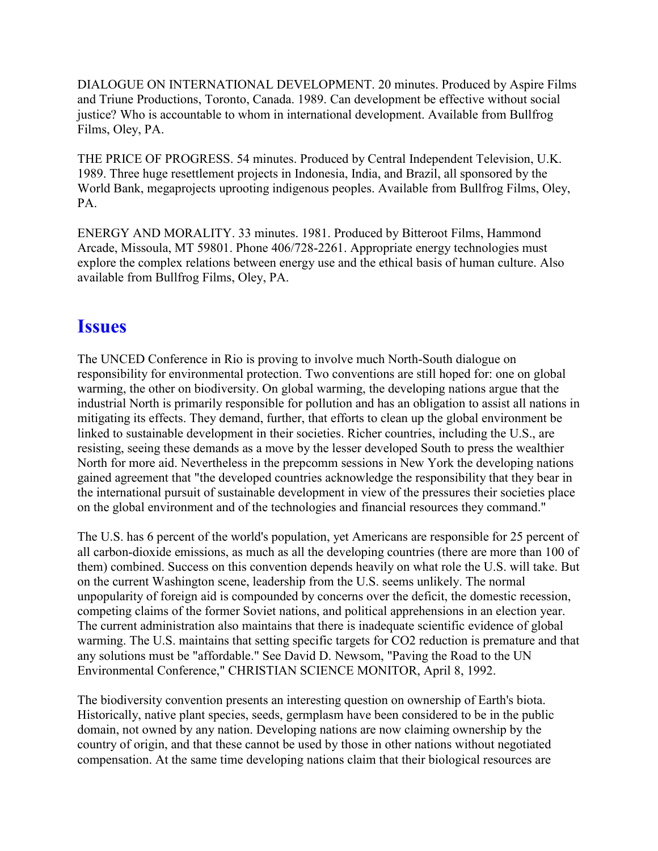DIALOGUE ON INTERNATIONAL DEVELOPMENT. 20 minutes. Produced by Aspire Films and Triune Productions, Toronto, Canada. 1989. Can development be effective without social justice? Who is accountable to whom in international development. Available from Bullfrog Films, Oley, PA.

THE PRICE OF PROGRESS. 54 minutes. Produced by Central Independent Television, U.K. 1989. Three huge resettlement projects in Indonesia, India, and Brazil, all sponsored by the World Bank, megaprojects uprooting indigenous peoples. Available from Bullfrog Films, Oley, PA.

ENERGY AND MORALITY. 33 minutes. 1981. Produced by Bitteroot Films, Hammond Arcade, Missoula, MT 59801. Phone 406/728-2261. Appropriate energy technologies must explore the complex relations between energy use and the ethical basis of human culture. Also available from Bullfrog Films, Oley, PA.

#### **Issues**

The UNCED Conference in Rio is proving to involve much North-South dialogue on responsibility for environmental protection. Two conventions are still hoped for: one on global warming, the other on biodiversity. On global warming, the developing nations argue that the industrial North is primarily responsible for pollution and has an obligation to assist all nations in mitigating its effects. They demand, further, that efforts to clean up the global environment be linked to sustainable development in their societies. Richer countries, including the U.S., are resisting, seeing these demands as a move by the lesser developed South to press the wealthier North for more aid. Nevertheless in the prepcomm sessions in New York the developing nations gained agreement that "the developed countries acknowledge the responsibility that they bear in the international pursuit of sustainable development in view of the pressures their societies place on the global environment and of the technologies and financial resources they command."

The U.S. has 6 percent of the world's population, yet Americans are responsible for 25 percent of all carbon-dioxide emissions, as much as all the developing countries (there are more than 100 of them) combined. Success on this convention depends heavily on what role the U.S. will take. But on the current Washington scene, leadership from the U.S. seems unlikely. The normal unpopularity of foreign aid is compounded by concerns over the deficit, the domestic recession, competing claims of the former Soviet nations, and political apprehensions in an election year. The current administration also maintains that there is inadequate scientific evidence of global warming. The U.S. maintains that setting specific targets for CO2 reduction is premature and that any solutions must be "affordable." See David D. Newsom, "Paving the Road to the UN Environmental Conference," CHRISTIAN SCIENCE MONITOR, April 8, 1992.

The biodiversity convention presents an interesting question on ownership of Earth's biota. Historically, native plant species, seeds, germplasm have been considered to be in the public domain, not owned by any nation. Developing nations are now claiming ownership by the country of origin, and that these cannot be used by those in other nations without negotiated compensation. At the same time developing nations claim that their biological resources are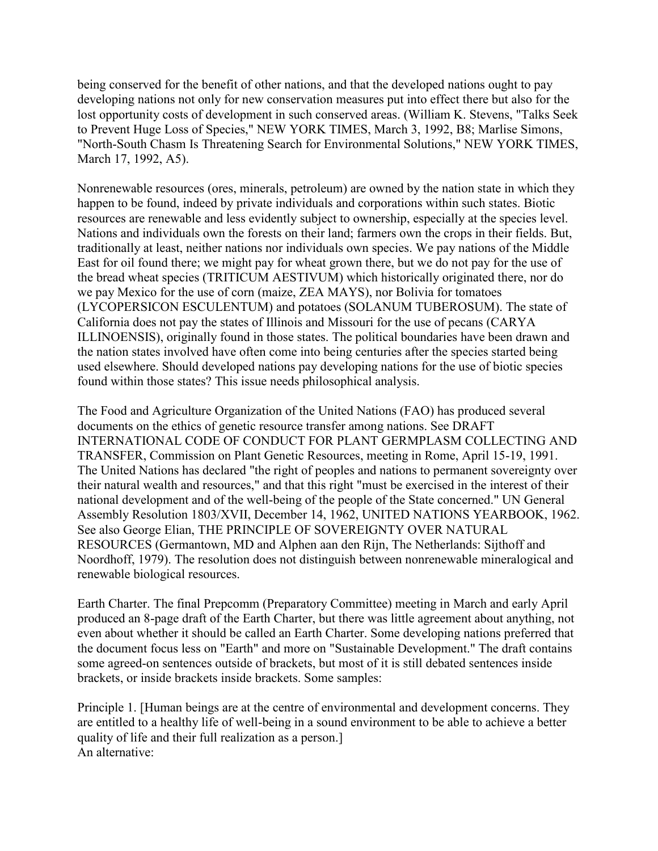being conserved for the benefit of other nations, and that the developed nations ought to pay developing nations not only for new conservation measures put into effect there but also for the lost opportunity costs of development in such conserved areas. (William K. Stevens, "Talks Seek to Prevent Huge Loss of Species," NEW YORK TIMES, March 3, 1992, B8; Marlise Simons, "North-South Chasm Is Threatening Search for Environmental Solutions," NEW YORK TIMES, March 17, 1992, A5).

Nonrenewable resources (ores, minerals, petroleum) are owned by the nation state in which they happen to be found, indeed by private individuals and corporations within such states. Biotic resources are renewable and less evidently subject to ownership, especially at the species level. Nations and individuals own the forests on their land; farmers own the crops in their fields. But, traditionally at least, neither nations nor individuals own species. We pay nations of the Middle East for oil found there; we might pay for wheat grown there, but we do not pay for the use of the bread wheat species (TRITICUM AESTIVUM) which historically originated there, nor do we pay Mexico for the use of corn (maize, ZEA MAYS), nor Bolivia for tomatoes (LYCOPERSICON ESCULENTUM) and potatoes (SOLANUM TUBEROSUM). The state of California does not pay the states of Illinois and Missouri for the use of pecans (CARYA ILLINOENSIS), originally found in those states. The political boundaries have been drawn and the nation states involved have often come into being centuries after the species started being used elsewhere. Should developed nations pay developing nations for the use of biotic species found within those states? This issue needs philosophical analysis.

The Food and Agriculture Organization of the United Nations (FAO) has produced several documents on the ethics of genetic resource transfer among nations. See DRAFT INTERNATIONAL CODE OF CONDUCT FOR PLANT GERMPLASM COLLECTING AND TRANSFER, Commission on Plant Genetic Resources, meeting in Rome, April 15-19, 1991. The United Nations has declared "the right of peoples and nations to permanent sovereignty over their natural wealth and resources," and that this right "must be exercised in the interest of their national development and of the well-being of the people of the State concerned." UN General Assembly Resolution 1803/XVII, December 14, 1962, UNITED NATIONS YEARBOOK, 1962. See also George Elian, THE PRINCIPLE OF SOVEREIGNTY OVER NATURAL RESOURCES (Germantown, MD and Alphen aan den Rijn, The Netherlands: Sijthoff and Noordhoff, 1979). The resolution does not distinguish between nonrenewable mineralogical and renewable biological resources.

Earth Charter. The final Prepcomm (Preparatory Committee) meeting in March and early April produced an 8-page draft of the Earth Charter, but there was little agreement about anything, not even about whether it should be called an Earth Charter. Some developing nations preferred that the document focus less on "Earth" and more on "Sustainable Development." The draft contains some agreed-on sentences outside of brackets, but most of it is still debated sentences inside brackets, or inside brackets inside brackets. Some samples:

Principle 1. [Human beings are at the centre of environmental and development concerns. They are entitled to a healthy life of well-being in a sound environment to be able to achieve a better quality of life and their full realization as a person.] An alternative: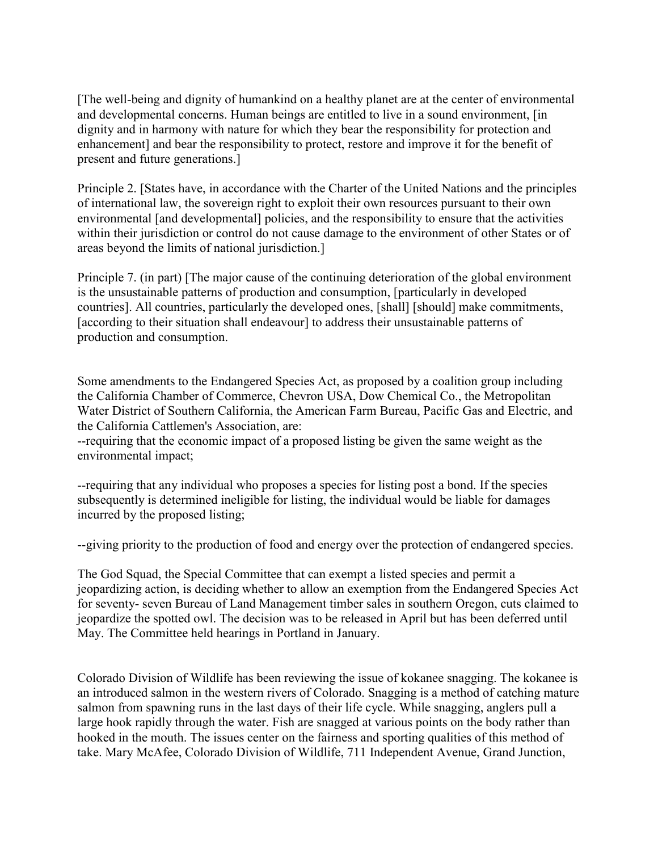[The well-being and dignity of humankind on a healthy planet are at the center of environmental and developmental concerns. Human beings are entitled to live in a sound environment, [in dignity and in harmony with nature for which they bear the responsibility for protection and enhancement] and bear the responsibility to protect, restore and improve it for the benefit of present and future generations.]

Principle 2. [States have, in accordance with the Charter of the United Nations and the principles of international law, the sovereign right to exploit their own resources pursuant to their own environmental [and developmental] policies, and the responsibility to ensure that the activities within their jurisdiction or control do not cause damage to the environment of other States or of areas beyond the limits of national jurisdiction.]

Principle 7. (in part) [The major cause of the continuing deterioration of the global environment is the unsustainable patterns of production and consumption, [particularly in developed countries]. All countries, particularly the developed ones, [shall] [should] make commitments, [according to their situation shall endeavour] to address their unsustainable patterns of production and consumption.

Some amendments to the Endangered Species Act, as proposed by a coalition group including the California Chamber of Commerce, Chevron USA, Dow Chemical Co., the Metropolitan Water District of Southern California, the American Farm Bureau, Pacific Gas and Electric, and the California Cattlemen's Association, are:

--requiring that the economic impact of a proposed listing be given the same weight as the environmental impact;

--requiring that any individual who proposes a species for listing post a bond. If the species subsequently is determined ineligible for listing, the individual would be liable for damages incurred by the proposed listing;

--giving priority to the production of food and energy over the protection of endangered species.

The God Squad, the Special Committee that can exempt a listed species and permit a jeopardizing action, is deciding whether to allow an exemption from the Endangered Species Act for seventy- seven Bureau of Land Management timber sales in southern Oregon, cuts claimed to jeopardize the spotted owl. The decision was to be released in April but has been deferred until May. The Committee held hearings in Portland in January.

Colorado Division of Wildlife has been reviewing the issue of kokanee snagging. The kokanee is an introduced salmon in the western rivers of Colorado. Snagging is a method of catching mature salmon from spawning runs in the last days of their life cycle. While snagging, anglers pull a large hook rapidly through the water. Fish are snagged at various points on the body rather than hooked in the mouth. The issues center on the fairness and sporting qualities of this method of take. Mary McAfee, Colorado Division of Wildlife, 711 Independent Avenue, Grand Junction,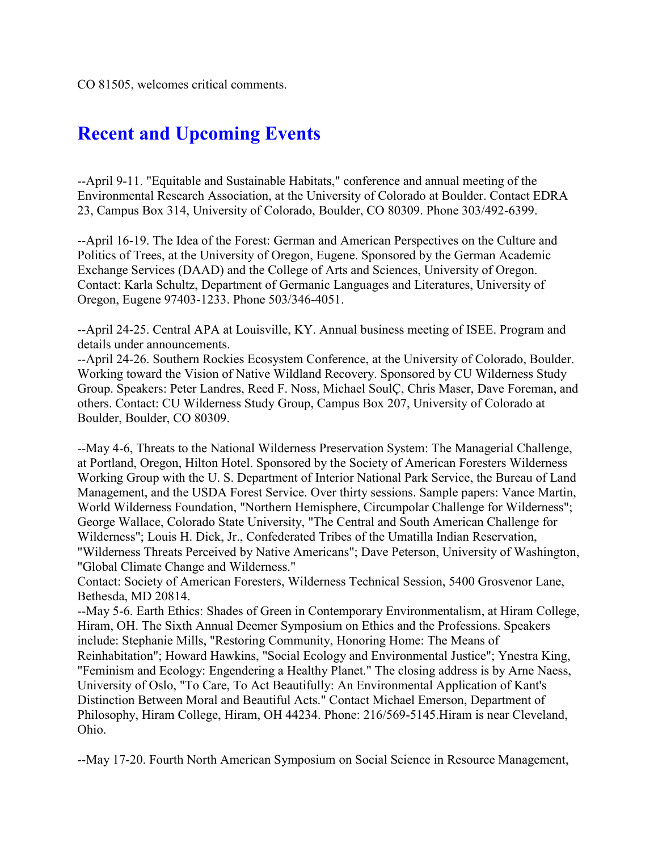# **Recent and Upcoming Events**

--April 9-11. "Equitable and Sustainable Habitats," conference and annual meeting of the Environmental Research Association, at the University of Colorado at Boulder. Contact EDRA 23, Campus Box 314, University of Colorado, Boulder, CO 80309. Phone 303/492-6399.

--April 16-19. The Idea of the Forest: German and American Perspectives on the Culture and Politics of Trees, at the University of Oregon, Eugene. Sponsored by the German Academic Exchange Services (DAAD) and the College of Arts and Sciences, University of Oregon. Contact: Karla Schultz, Department of Germanic Languages and Literatures, University of Oregon, Eugene 97403-1233. Phone 503/346-4051.

--April 24-25. Central APA at Louisville, KY. Annual business meeting of ISEE. Program and details under announcements.

--April 24-26. Southern Rockies Ecosystem Conference, at the University of Colorado, Boulder. Working toward the Vision of Native Wildland Recovery. Sponsored by CU Wilderness Study Group. Speakers: Peter Landres, Reed F. Noss, Michael SoulÇ, Chris Maser, Dave Foreman, and others. Contact: CU Wilderness Study Group, Campus Box 207, University of Colorado at Boulder, Boulder, CO 80309.

--May 4-6, Threats to the National Wilderness Preservation System: The Managerial Challenge, at Portland, Oregon, Hilton Hotel. Sponsored by the Society of American Foresters Wilderness Working Group with the U. S. Department of Interior National Park Service, the Bureau of Land Management, and the USDA Forest Service. Over thirty sessions. Sample papers: Vance Martin, World Wilderness Foundation, "Northern Hemisphere, Circumpolar Challenge for Wilderness"; George Wallace, Colorado State University, "The Central and South American Challenge for Wilderness"; Louis H. Dick, Jr., Confederated Tribes of the Umatilla Indian Reservation, "Wilderness Threats Perceived by Native Americans"; Dave Peterson, University of Washington, "Global Climate Change and Wilderness."

Contact: Society of American Foresters, Wilderness Technical Session, 5400 Grosvenor Lane, Bethesda, MD 20814.

--May 5-6. Earth Ethics: Shades of Green in Contemporary Environmentalism, at Hiram College, Hiram, OH. The Sixth Annual Deemer Symposium on Ethics and the Professions. Speakers include: Stephanie Mills, "Restoring Community, Honoring Home: The Means of Reinhabitation"; Howard Hawkins, "Social Ecology and Environmental Justice"; Ynestra King, "Feminism and Ecology: Engendering a Healthy Planet." The closing address is by Arne Naess, University of Oslo, "To Care, To Act Beautifully: An Environmental Application of Kant's Distinction Between Moral and Beautiful Acts." Contact Michael Emerson, Department of Philosophy, Hiram College, Hiram, OH 44234. Phone: 216/569-5145.Hiram is near Cleveland, Ohio.

--May 17-20. Fourth North American Symposium on Social Science in Resource Management,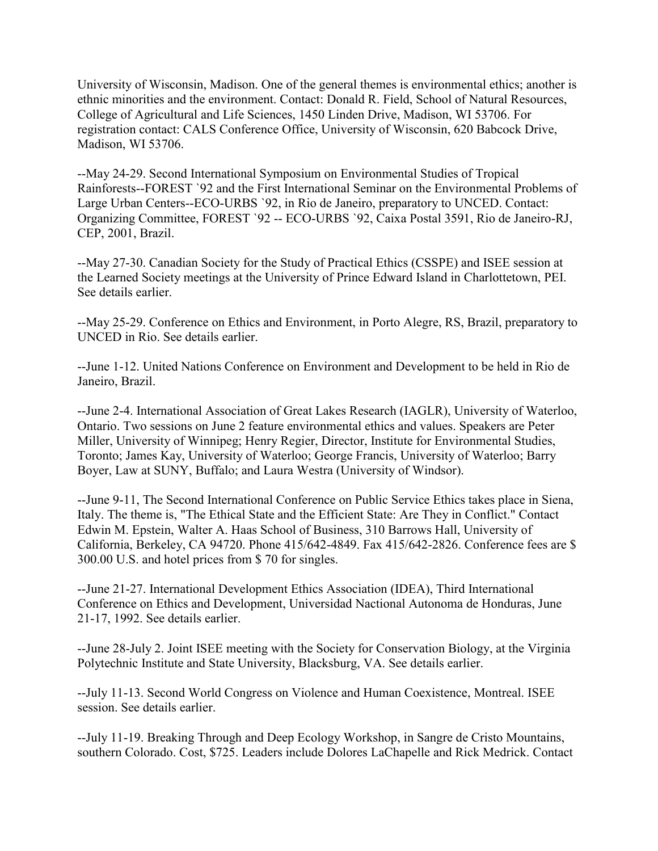University of Wisconsin, Madison. One of the general themes is environmental ethics; another is ethnic minorities and the environment. Contact: Donald R. Field, School of Natural Resources, College of Agricultural and Life Sciences, 1450 Linden Drive, Madison, WI 53706. For registration contact: CALS Conference Office, University of Wisconsin, 620 Babcock Drive, Madison, WI 53706.

--May 24-29. Second International Symposium on Environmental Studies of Tropical Rainforests--FOREST `92 and the First International Seminar on the Environmental Problems of Large Urban Centers--ECO-URBS `92, in Rio de Janeiro, preparatory to UNCED. Contact: Organizing Committee, FOREST `92 -- ECO-URBS `92, Caixa Postal 3591, Rio de Janeiro-RJ, CEP, 2001, Brazil.

--May 27-30. Canadian Society for the Study of Practical Ethics (CSSPE) and ISEE session at the Learned Society meetings at the University of Prince Edward Island in Charlottetown, PEI. See details earlier.

--May 25-29. Conference on Ethics and Environment, in Porto Alegre, RS, Brazil, preparatory to UNCED in Rio. See details earlier.

--June 1-12. United Nations Conference on Environment and Development to be held in Rio de Janeiro, Brazil.

--June 2-4. International Association of Great Lakes Research (IAGLR), University of Waterloo, Ontario. Two sessions on June 2 feature environmental ethics and values. Speakers are Peter Miller, University of Winnipeg; Henry Regier, Director, Institute for Environmental Studies, Toronto; James Kay, University of Waterloo; George Francis, University of Waterloo; Barry Boyer, Law at SUNY, Buffalo; and Laura Westra (University of Windsor).

--June 9-11, The Second International Conference on Public Service Ethics takes place in Siena, Italy. The theme is, "The Ethical State and the Efficient State: Are They in Conflict." Contact Edwin M. Epstein, Walter A. Haas School of Business, 310 Barrows Hall, University of California, Berkeley, CA 94720. Phone 415/642-4849. Fax 415/642-2826. Conference fees are \$ 300.00 U.S. and hotel prices from \$ 70 for singles.

--June 21-27. International Development Ethics Association (IDEA), Third International Conference on Ethics and Development, Universidad Nactional Autonoma de Honduras, June 21-17, 1992. See details earlier.

--June 28-July 2. Joint ISEE meeting with the Society for Conservation Biology, at the Virginia Polytechnic Institute and State University, Blacksburg, VA. See details earlier.

--July 11-13. Second World Congress on Violence and Human Coexistence, Montreal. ISEE session. See details earlier.

--July 11-19. Breaking Through and Deep Ecology Workshop, in Sangre de Cristo Mountains, southern Colorado. Cost, \$725. Leaders include Dolores LaChapelle and Rick Medrick. Contact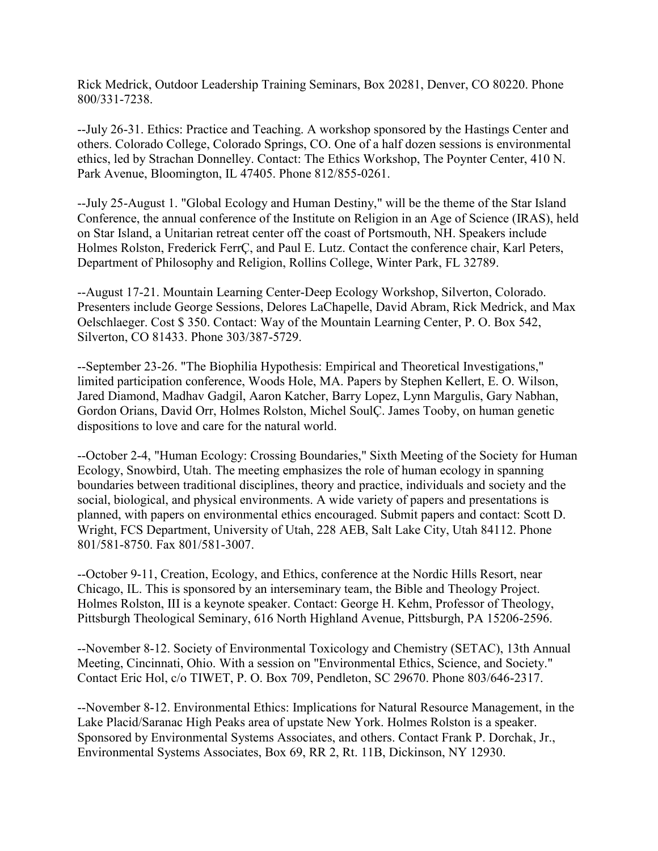Rick Medrick, Outdoor Leadership Training Seminars, Box 20281, Denver, CO 80220. Phone 800/331-7238.

--July 26-31. Ethics: Practice and Teaching. A workshop sponsored by the Hastings Center and others. Colorado College, Colorado Springs, CO. One of a half dozen sessions is environmental ethics, led by Strachan Donnelley. Contact: The Ethics Workshop, The Poynter Center, 410 N. Park Avenue, Bloomington, IL 47405. Phone 812/855-0261.

--July 25-August 1. "Global Ecology and Human Destiny," will be the theme of the Star Island Conference, the annual conference of the Institute on Religion in an Age of Science (IRAS), held on Star Island, a Unitarian retreat center off the coast of Portsmouth, NH. Speakers include Holmes Rolston, Frederick FerrÇ, and Paul E. Lutz. Contact the conference chair, Karl Peters, Department of Philosophy and Religion, Rollins College, Winter Park, FL 32789.

--August 17-21. Mountain Learning Center-Deep Ecology Workshop, Silverton, Colorado. Presenters include George Sessions, Delores LaChapelle, David Abram, Rick Medrick, and Max Oelschlaeger. Cost \$ 350. Contact: Way of the Mountain Learning Center, P. O. Box 542, Silverton, CO 81433. Phone 303/387-5729.

--September 23-26. "The Biophilia Hypothesis: Empirical and Theoretical Investigations," limited participation conference, Woods Hole, MA. Papers by Stephen Kellert, E. O. Wilson, Jared Diamond, Madhav Gadgil, Aaron Katcher, Barry Lopez, Lynn Margulis, Gary Nabhan, Gordon Orians, David Orr, Holmes Rolston, Michel SoulÇ. James Tooby, on human genetic dispositions to love and care for the natural world.

--October 2-4, "Human Ecology: Crossing Boundaries," Sixth Meeting of the Society for Human Ecology, Snowbird, Utah. The meeting emphasizes the role of human ecology in spanning boundaries between traditional disciplines, theory and practice, individuals and society and the social, biological, and physical environments. A wide variety of papers and presentations is planned, with papers on environmental ethics encouraged. Submit papers and contact: Scott D. Wright, FCS Department, University of Utah, 228 AEB, Salt Lake City, Utah 84112. Phone 801/581-8750. Fax 801/581-3007.

--October 9-11, Creation, Ecology, and Ethics, conference at the Nordic Hills Resort, near Chicago, IL. This is sponsored by an interseminary team, the Bible and Theology Project. Holmes Rolston, III is a keynote speaker. Contact: George H. Kehm, Professor of Theology, Pittsburgh Theological Seminary, 616 North Highland Avenue, Pittsburgh, PA 15206-2596.

--November 8-12. Society of Environmental Toxicology and Chemistry (SETAC), 13th Annual Meeting, Cincinnati, Ohio. With a session on "Environmental Ethics, Science, and Society." Contact Eric Hol, c/o TIWET, P. O. Box 709, Pendleton, SC 29670. Phone 803/646-2317.

--November 8-12. Environmental Ethics: Implications for Natural Resource Management, in the Lake Placid/Saranac High Peaks area of upstate New York. Holmes Rolston is a speaker. Sponsored by Environmental Systems Associates, and others. Contact Frank P. Dorchak, Jr., Environmental Systems Associates, Box 69, RR 2, Rt. 11B, Dickinson, NY 12930.